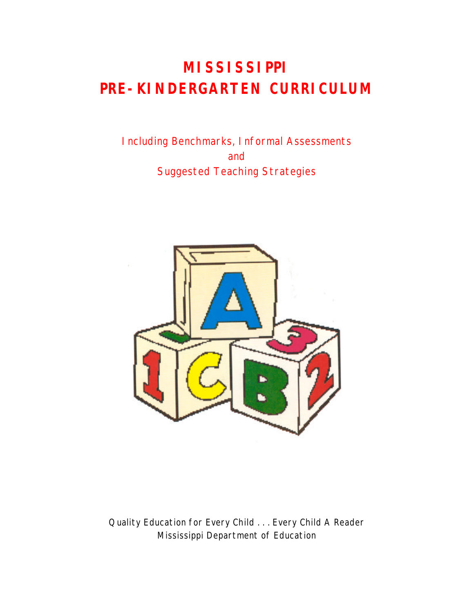## **MISSISSIPPI PRE-KINDERGARTEN CURRICULUM**

Including Benchmarks, Informal Assessments and Suggested Teaching Strategies



Quality Education for Every Child . . . Every Child A Reader Mississippi Department of Education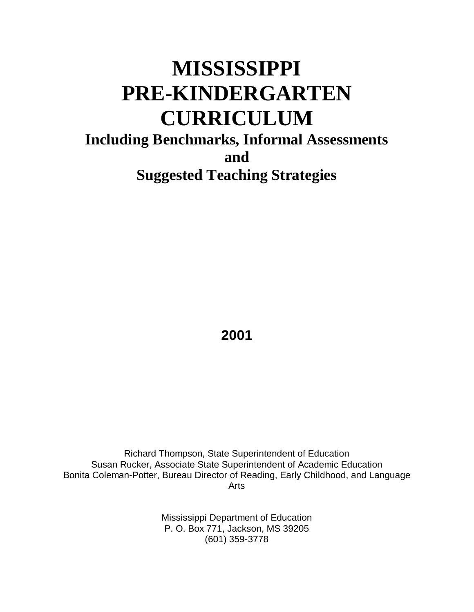# **MISSISSIPPI PRE-KINDERGARTEN CURRICULUM**

## **Including Benchmarks, Informal Assessments and Suggested Teaching Strategies**

**2001**

Richard Thompson, State Superintendent of Education Susan Rucker, Associate State Superintendent of Academic Education Bonita Coleman-Potter, Bureau Director of Reading, Early Childhood, and Language Arts

> Mississippi Department of Education P. O. Box 771, Jackson, MS 39205 (601) 359-3778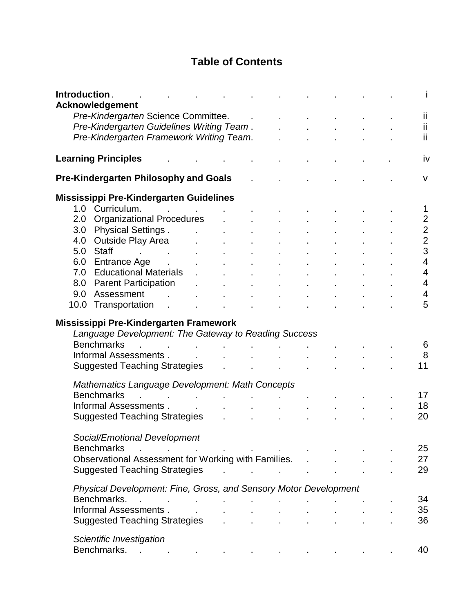## **Table of Contents**

| Introduction. | <b>Acknowledgement</b>                                                                                                                                                                                                   |                                   |                                                           |                               |                               |  |  |                |
|---------------|--------------------------------------------------------------------------------------------------------------------------------------------------------------------------------------------------------------------------|-----------------------------------|-----------------------------------------------------------|-------------------------------|-------------------------------|--|--|----------------|
|               | Pre-Kindergarten Science Committee.                                                                                                                                                                                      |                                   |                                                           |                               |                               |  |  | Ϊİ.            |
|               | Pre-Kindergarten Guidelines Writing Team.                                                                                                                                                                                |                                   |                                                           |                               |                               |  |  | ii.            |
|               | Pre-Kindergarten Framework Writing Team.                                                                                                                                                                                 |                                   |                                                           |                               |                               |  |  | ii.            |
|               |                                                                                                                                                                                                                          |                                   |                                                           |                               |                               |  |  |                |
|               | <b>Learning Principles</b>                                                                                                                                                                                               |                                   |                                                           |                               |                               |  |  | <b>iv</b>      |
|               | <b>Pre-Kindergarten Philosophy and Goals</b>                                                                                                                                                                             |                                   |                                                           |                               |                               |  |  | $\mathsf{V}$   |
|               | Mississippi Pre-Kindergarten Guidelines                                                                                                                                                                                  |                                   |                                                           |                               |                               |  |  |                |
|               | 1.0 Curriculum.                                                                                                                                                                                                          | <b>Contract Contract Contract</b> |                                                           |                               |                               |  |  | 1              |
| 2.0           | <b>Organizational Procedures</b>                                                                                                                                                                                         |                                   |                                                           |                               |                               |  |  | $\mathbf 2$    |
| 3.0           | <b>Physical Settings.</b>                                                                                                                                                                                                | $\mathcal{L}^{\text{max}}$        | $\mathcal{L}^{\text{max}}$ and $\mathcal{L}^{\text{max}}$ |                               |                               |  |  |                |
| 4.0           | <b>Outside Play Area</b>                                                                                                                                                                                                 |                                   |                                                           |                               |                               |  |  | $\frac{2}{2}$  |
| 5.0           | <b>Staff</b><br>the control of the control of the                                                                                                                                                                        |                                   |                                                           |                               |                               |  |  | 3              |
|               | 6.0 Entrance Age .                                                                                                                                                                                                       |                                   |                                                           |                               |                               |  |  | $\overline{4}$ |
|               | 7.0 Educational Materials                                                                                                                                                                                                |                                   |                                                           |                               |                               |  |  | 4              |
| 8.0           | <b>Parent Participation</b>                                                                                                                                                                                              |                                   |                                                           | $\sim$                        | $\mathcal{L}^{\mathcal{L}}$   |  |  | $\overline{4}$ |
| 9.0           | Assessment<br><b>Service</b>                                                                                                                                                                                             |                                   |                                                           | $\mathbf{r}$                  |                               |  |  | 4              |
|               | 10.0 Transportation                                                                                                                                                                                                      |                                   |                                                           |                               |                               |  |  | 5              |
|               | $\mathbf{r}$                                                                                                                                                                                                             |                                   |                                                           |                               |                               |  |  |                |
|               | Mississippi Pre-Kindergarten Framework<br>Language Development: The Gateway to Reading Success<br><b>Benchmarks</b><br>the control of the control of the<br>Informal Assessments<br>Suggested Teaching Strategies Theory |                                   |                                                           | $\mathbf{A}$ and $\mathbf{A}$ |                               |  |  | 6<br>8<br>11   |
|               |                                                                                                                                                                                                                          |                                   |                                                           |                               |                               |  |  |                |
|               | Mathematics Language Development: Math Concepts                                                                                                                                                                          |                                   |                                                           |                               |                               |  |  |                |
|               | <b>Benchmarks</b>                                                                                                                                                                                                        | the control of the control of     |                                                           | <b>Contract Contract</b>      |                               |  |  | 17             |
|               | Informal Assessments.                                                                                                                                                                                                    |                                   |                                                           |                               |                               |  |  | 18             |
|               | <b>Suggested Teaching Strategies</b>                                                                                                                                                                                     |                                   |                                                           |                               |                               |  |  | 20             |
|               | Social/Emotional Development                                                                                                                                                                                             |                                   |                                                           |                               |                               |  |  |                |
|               | <b>Benchmarks</b><br>$\mathcal{L}^{\mathcal{A}}$ and $\mathcal{L}^{\mathcal{A}}$ are the set of the set of the set of the set of $\mathcal{L}^{\mathcal{A}}$                                                             |                                   |                                                           |                               |                               |  |  | 25             |
|               | Observational Assessment for Working with Families.                                                                                                                                                                      |                                   |                                                           |                               |                               |  |  | 27             |
|               | <b>Suggested Teaching Strategies</b>                                                                                                                                                                                     |                                   |                                                           |                               | and the state of the state of |  |  | 29             |
|               | Physical Development: Fine, Gross, and Sensory Motor Development                                                                                                                                                         |                                   |                                                           |                               |                               |  |  |                |
|               | Benchmarks.                                                                                                                                                                                                              |                                   |                                                           |                               |                               |  |  | 34             |
|               | Informal Assessments.                                                                                                                                                                                                    |                                   |                                                           |                               |                               |  |  | 35             |
|               | Suggested Teaching Strategies                                                                                                                                                                                            |                                   |                                                           |                               |                               |  |  | 36             |
|               | Scientific Investigation                                                                                                                                                                                                 |                                   |                                                           |                               |                               |  |  |                |
|               | Benchmarks.<br>the contract of the contract of the con-                                                                                                                                                                  |                                   |                                                           |                               |                               |  |  | 40             |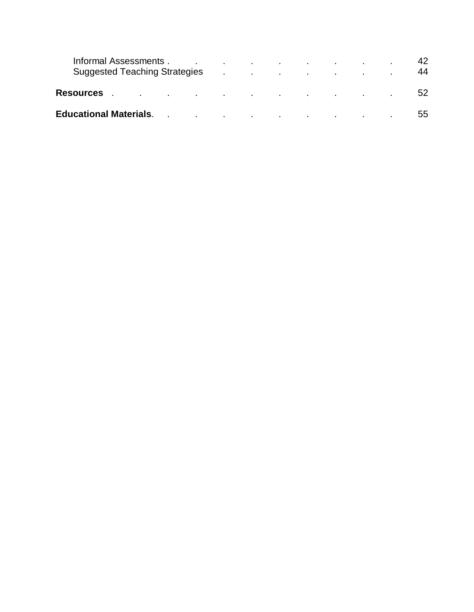| Informal Assessments.<br>Suggested Teaching Strategies Allen Allen Allen and Allen Allen Allen Allen Allen Allen Allen Allen Allen Allen                                                                                       |  | the contract of the contract of the contract of the contract of the contract of |  |  | 42<br>44 |
|--------------------------------------------------------------------------------------------------------------------------------------------------------------------------------------------------------------------------------|--|---------------------------------------------------------------------------------|--|--|----------|
| Resources experiences and the set of the set of the set of the set of the set of the set of the set of the set                                                                                                                 |  |                                                                                 |  |  | 52       |
| Educational Materials. The contract of the contract of the contract of the contract of the contract of the contract of the contract of the contract of the contract of the contract of the contract of the contract of the con |  |                                                                                 |  |  | 55       |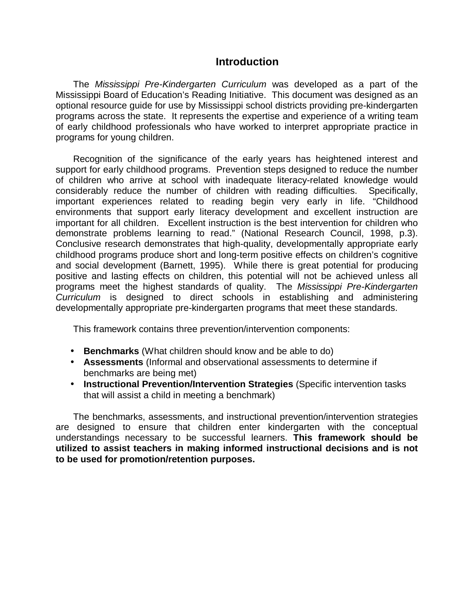#### **Introduction**

The *Mississippi Pre-Kindergarten Curriculum* was developed as a part of the Mississippi Board of Education's Reading Initiative. This document was designed as an optional resource guide for use by Mississippi school districts providing pre-kindergarten programs across the state. It represents the expertise and experience of a writing team of early childhood professionals who have worked to interpret appropriate practice in programs for young children.

Recognition of the significance of the early years has heightened interest and support for early childhood programs. Prevention steps designed to reduce the number of children who arrive at school with inadequate literacy-related knowledge would considerably reduce the number of children with reading difficulties. Specifically, important experiences related to reading begin very early in life. "Childhood environments that support early literacy development and excellent instruction are important for all children. Excellent instruction is the best intervention for children who demonstrate problems learning to read." (National Research Council, 1998, p.3). Conclusive research demonstrates that high-quality, developmentally appropriate early childhood programs produce short and long-term positive effects on children's cognitive and social development (Barnett, 1995). While there is great potential for producing positive and lasting effects on children, this potential will not be achieved unless all programs meet the highest standards of quality. The *Mississippi Pre-Kindergarten Curriculum* is designed to direct schools in establishing and administering developmentally appropriate pre-kindergarten programs that meet these standards.

This framework contains three prevention/intervention components:

- **Benchmarks** (What children should know and be able to do)
- **Assessments** (Informal and observational assessments to determine if benchmarks are being met)
- **Instructional Prevention/Intervention Strategies** (Specific intervention tasks that will assist a child in meeting a benchmark)

The benchmarks, assessments, and instructional prevention/intervention strategies are designed to ensure that children enter kindergarten with the conceptual understandings necessary to be successful learners. **This framework should be utilized to assist teachers in making informed instructional decisions and is not to be used for promotion/retention purposes.**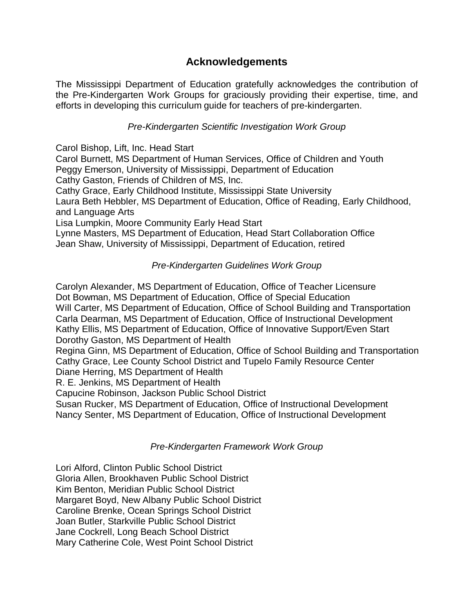## **Acknowledgements**

The Mississippi Department of Education gratefully acknowledges the contribution of the Pre-Kindergarten Work Groups for graciously providing their expertise, time, and efforts in developing this curriculum guide for teachers of pre-kindergarten.

#### *Pre-Kindergarten Scientific Investigation Work Group*

Carol Bishop, Lift, Inc. Head Start

Carol Burnett, MS Department of Human Services, Office of Children and Youth Peggy Emerson, University of Mississippi, Department of Education

Cathy Gaston, Friends of Children of MS, Inc.

Cathy Grace, Early Childhood Institute, Mississippi State University

Laura Beth Hebbler, MS Department of Education, Office of Reading, Early Childhood, and Language Arts

Lisa Lumpkin, Moore Community Early Head Start

Lynne Masters, MS Department of Education, Head Start Collaboration Office Jean Shaw, University of Mississippi, Department of Education, retired

#### *Pre-Kindergarten Guidelines Work Group*

Carolyn Alexander, MS Department of Education, Office of Teacher Licensure Dot Bowman, MS Department of Education, Office of Special Education Will Carter, MS Department of Education, Office of School Building and Transportation Carla Dearman, MS Department of Education, Office of Instructional Development Kathy Ellis, MS Department of Education, Office of Innovative Support/Even Start Dorothy Gaston, MS Department of Health Regina Ginn, MS Department of Education, Office of School Building and Transportation Cathy Grace, Lee County School District and Tupelo Family Resource Center

Diane Herring, MS Department of Health

R. E. Jenkins, MS Department of Health

Capucine Robinson, Jackson Public School District

Susan Rucker, MS Department of Education, Office of Instructional Development Nancy Senter, MS Department of Education, Office of Instructional Development

#### *Pre-Kindergarten Framework Work Group*

Lori Alford, Clinton Public School District Gloria Allen, Brookhaven Public School District Kim Benton, Meridian Public School District Margaret Boyd, New Albany Public School District Caroline Brenke, Ocean Springs School District Joan Butler, Starkville Public School District Jane Cockrell, Long Beach School District Mary Catherine Cole, West Point School District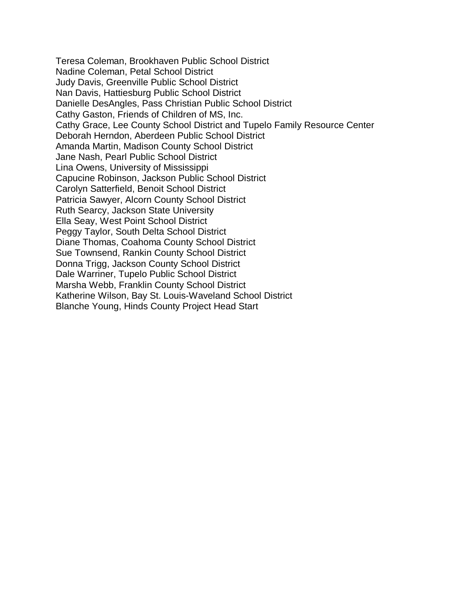Teresa Coleman, Brookhaven Public School District Nadine Coleman, Petal School District Judy Davis, Greenville Public School District Nan Davis, Hattiesburg Public School District Danielle DesAngles, Pass Christian Public School District Cathy Gaston, Friends of Children of MS, Inc. Cathy Grace, Lee County School District and Tupelo Family Resource Center Deborah Herndon, Aberdeen Public School District Amanda Martin, Madison County School District Jane Nash, Pearl Public School District Lina Owens, University of Mississippi Capucine Robinson, Jackson Public School District Carolyn Satterfield, Benoit School District Patricia Sawyer, Alcorn County School District Ruth Searcy, Jackson State University Ella Seay, West Point School District Peggy Taylor, South Delta School District Diane Thomas, Coahoma County School District Sue Townsend, Rankin County School District Donna Trigg, Jackson County School District Dale Warriner, Tupelo Public School District Marsha Webb, Franklin County School District Katherine Wilson, Bay St. Louis-Waveland School District Blanche Young, Hinds County Project Head Start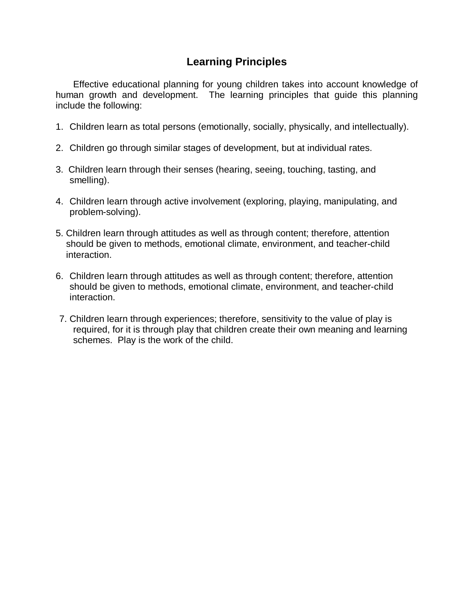## **Learning Principles**

Effective educational planning for young children takes into account knowledge of human growth and development. The learning principles that guide this planning include the following:

- 1. Children learn as total persons (emotionally, socially, physically, and intellectually).
- 2. Children go through similar stages of development, but at individual rates.
- 3. Children learn through their senses (hearing, seeing, touching, tasting, and smelling).
- 4. Children learn through active involvement (exploring, playing, manipulating, and problem-solving).
- 5. Children learn through attitudes as well as through content; therefore, attention should be given to methods, emotional climate, environment, and teacher-child interaction.
- 6. Children learn through attitudes as well as through content; therefore, attention should be given to methods, emotional climate, environment, and teacher-child interaction.
- 7. Children learn through experiences; therefore, sensitivity to the value of play is required, for it is through play that children create their own meaning and learning schemes. Play is the work of the child.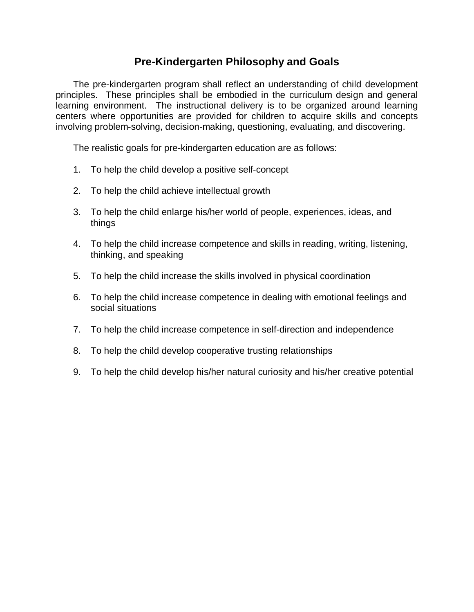### **Pre-Kindergarten Philosophy and Goals**

The pre-kindergarten program shall reflect an understanding of child development principles. These principles shall be embodied in the curriculum design and general learning environment. The instructional delivery is to be organized around learning centers where opportunities are provided for children to acquire skills and concepts involving problem-solving, decision-making, questioning, evaluating, and discovering.

The realistic goals for pre-kindergarten education are as follows:

- 1. To help the child develop a positive self-concept
- 2. To help the child achieve intellectual growth
- 3. To help the child enlarge his/her world of people, experiences, ideas, and things
- 4. To help the child increase competence and skills in reading, writing, listening, thinking, and speaking
- 5. To help the child increase the skills involved in physical coordination
- 6. To help the child increase competence in dealing with emotional feelings and social situations
- 7. To help the child increase competence in self-direction and independence
- 8. To help the child develop cooperative trusting relationships
- 9. To help the child develop his/her natural curiosity and his/her creative potential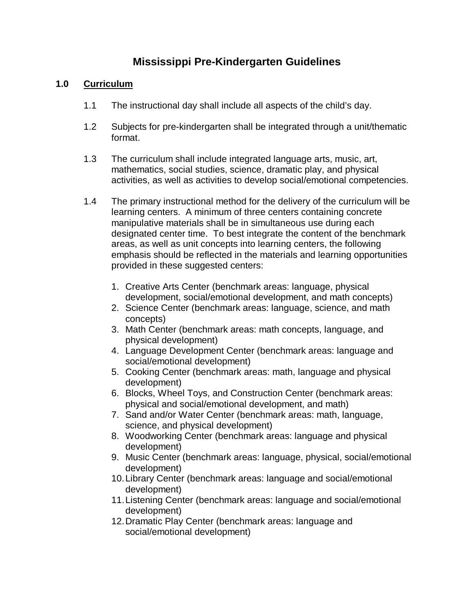## **Mississippi Pre-Kindergarten Guidelines**

#### **1.0 Curriculum**

- 1.1 The instructional day shall include all aspects of the child's day.
- 1.2 Subjects for pre-kindergarten shall be integrated through a unit/thematic format.
- 1.3 The curriculum shall include integrated language arts, music, art, mathematics, social studies, science, dramatic play, and physical activities, as well as activities to develop social/emotional competencies.
- 1.4 The primary instructional method for the delivery of the curriculum will be learning centers. A minimum of three centers containing concrete manipulative materials shall be in simultaneous use during each designated center time. To best integrate the content of the benchmark areas, as well as unit concepts into learning centers, the following emphasis should be reflected in the materials and learning opportunities provided in these suggested centers:
	- 1. Creative Arts Center (benchmark areas: language, physical development, social/emotional development, and math concepts)
	- 2. Science Center (benchmark areas: language, science, and math concepts)
	- 3. Math Center (benchmark areas: math concepts, language, and physical development)
	- 4. Language Development Center (benchmark areas: language and social/emotional development)
	- 5. Cooking Center (benchmark areas: math, language and physical development)
	- 6. Blocks, Wheel Toys, and Construction Center (benchmark areas: physical and social/emotional development, and math)
	- 7. Sand and/or Water Center (benchmark areas: math, language, science, and physical development)
	- 8. Woodworking Center (benchmark areas: language and physical development)
	- 9. Music Center (benchmark areas: language, physical, social/emotional development)
	- 10.Library Center (benchmark areas: language and social/emotional development)
	- 11.Listening Center (benchmark areas: language and social/emotional development)
	- 12.Dramatic Play Center (benchmark areas: language and social/emotional development)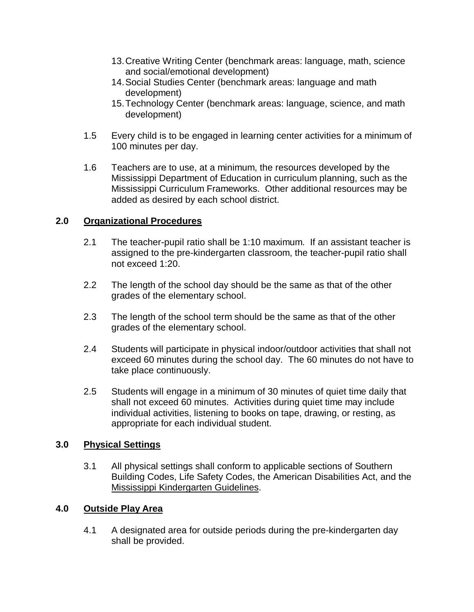- 13.Creative Writing Center (benchmark areas: language, math, science and social/emotional development)
- 14.Social Studies Center (benchmark areas: language and math development)
- 15.Technology Center (benchmark areas: language, science, and math development)
- 1.5 Every child is to be engaged in learning center activities for a minimum of 100 minutes per day.
- 1.6 Teachers are to use, at a minimum, the resources developed by the Mississippi Department of Education in curriculum planning, such as the Mississippi Curriculum Frameworks. Other additional resources may be added as desired by each school district.

#### **2.0 Organizational Procedures**

- 2.1 The teacher-pupil ratio shall be 1:10 maximum. If an assistant teacher is assigned to the pre-kindergarten classroom, the teacher-pupil ratio shall not exceed 1:20.
- 2.2 The length of the school day should be the same as that of the other grades of the elementary school.
- 2.3 The length of the school term should be the same as that of the other grades of the elementary school.
- 2.4 Students will participate in physical indoor/outdoor activities that shall not exceed 60 minutes during the school day. The 60 minutes do not have to take place continuously.
- 2.5 Students will engage in a minimum of 30 minutes of quiet time daily that shall not exceed 60 minutes. Activities during quiet time may include individual activities, listening to books on tape, drawing, or resting, as appropriate for each individual student.

#### **3.0 Physical Settings**

3.1 All physical settings shall conform to applicable sections of Southern Building Codes, Life Safety Codes, the American Disabilities Act, and the Mississippi Kindergarten Guidelines.

#### **4.0 Outside Play Area**

4.1 A designated area for outside periods during the pre-kindergarten day shall be provided.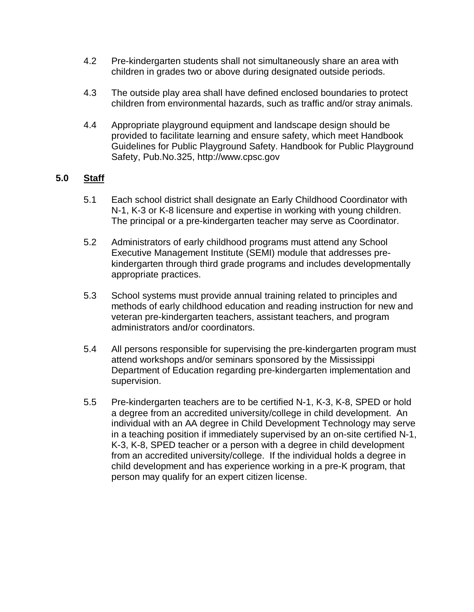- 4.2 Pre-kindergarten students shall not simultaneously share an area with children in grades two or above during designated outside periods.
- 4.3 The outside play area shall have defined enclosed boundaries to protect children from environmental hazards, such as traffic and/or stray animals.
- 4.4 Appropriate playground equipment and landscape design should be provided to facilitate learning and ensure safety, which meet Handbook Guidelines for Public Playground Safety. Handbook for Public Playground Safety, Pub.No.325, http://www.cpsc.gov

#### **5.0 Staff**

- 5.1 Each school district shall designate an Early Childhood Coordinator with N-1, K-3 or K-8 licensure and expertise in working with young children. The principal or a pre-kindergarten teacher may serve as Coordinator.
- 5.2 Administrators of early childhood programs must attend any School Executive Management Institute (SEMI) module that addresses prekindergarten through third grade programs and includes developmentally appropriate practices.
- 5.3 School systems must provide annual training related to principles and methods of early childhood education and reading instruction for new and veteran pre-kindergarten teachers, assistant teachers, and program administrators and/or coordinators.
- 5.4 All persons responsible for supervising the pre-kindergarten program must attend workshops and/or seminars sponsored by the Mississippi Department of Education regarding pre-kindergarten implementation and supervision.
- 5.5 Pre-kindergarten teachers are to be certified N-1, K-3, K-8, SPED or hold a degree from an accredited university/college in child development. An individual with an AA degree in Child Development Technology may serve in a teaching position if immediately supervised by an on-site certified N-1, K-3, K-8, SPED teacher or a person with a degree in child development from an accredited university/college. If the individual holds a degree in child development and has experience working in a pre-K program, that person may qualify for an expert citizen license.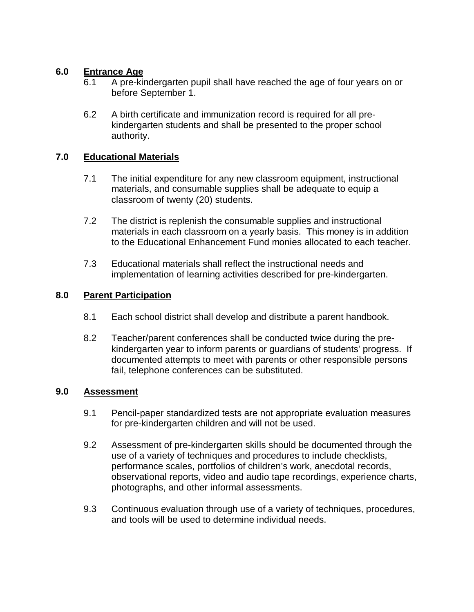#### **6.0 Entrance Age**

- 6.1 A pre-kindergarten pupil shall have reached the age of four years on or before September 1.
- 6.2 A birth certificate and immunization record is required for all prekindergarten students and shall be presented to the proper school authority.

#### **7.0 Educational Materials**

- 7.1 The initial expenditure for any new classroom equipment, instructional materials, and consumable supplies shall be adequate to equip a classroom of twenty (20) students.
- 7.2 The district is replenish the consumable supplies and instructional materials in each classroom on a yearly basis. This money is in addition to the Educational Enhancement Fund monies allocated to each teacher.
- 7.3 Educational materials shall reflect the instructional needs and implementation of learning activities described for pre-kindergarten.

#### **8.0 Parent Participation**

- 8.1 Each school district shall develop and distribute a parent handbook.
- 8.2 Teacher/parent conferences shall be conducted twice during the prekindergarten year to inform parents or guardians of students' progress. If documented attempts to meet with parents or other responsible persons fail, telephone conferences can be substituted.

#### **9.0 Assessment**

- 9.1 Pencil-paper standardized tests are not appropriate evaluation measures for pre-kindergarten children and will not be used.
- 9.2 Assessment of pre-kindergarten skills should be documented through the use of a variety of techniques and procedures to include checklists, performance scales, portfolios of children's work, anecdotal records, observational reports, video and audio tape recordings, experience charts, photographs, and other informal assessments.
- 9.3 Continuous evaluation through use of a variety of techniques, procedures, and tools will be used to determine individual needs.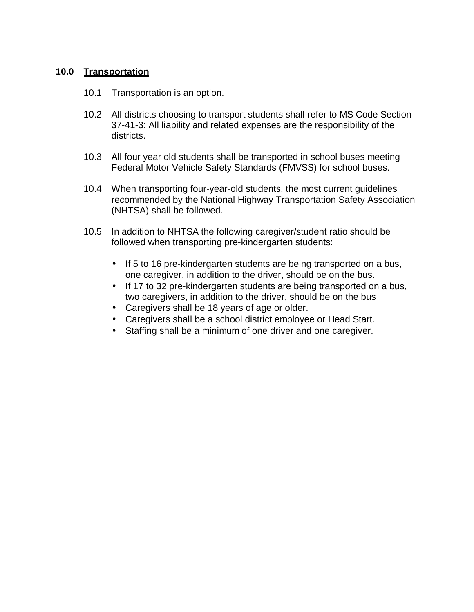#### **10.0 Transportation**

- 10.1 Transportation is an option.
- 10.2 All districts choosing to transport students shall refer to MS Code Section 37-41-3: All liability and related expenses are the responsibility of the districts.
- 10.3 All four year old students shall be transported in school buses meeting Federal Motor Vehicle Safety Standards (FMVSS) for school buses.
- 10.4 When transporting four-year-old students, the most current guidelines recommended by the National Highway Transportation Safety Association (NHTSA) shall be followed.
- 10.5 In addition to NHTSA the following caregiver/student ratio should be followed when transporting pre-kindergarten students:
	- If 5 to 16 pre-kindergarten students are being transported on a bus, one caregiver, in addition to the driver, should be on the bus.
	- If 17 to 32 pre-kindergarten students are being transported on a bus, two caregivers, in addition to the driver, should be on the bus
	- Caregivers shall be 18 years of age or older.
	- Caregivers shall be a school district employee or Head Start.
	- Staffing shall be a minimum of one driver and one caregiver.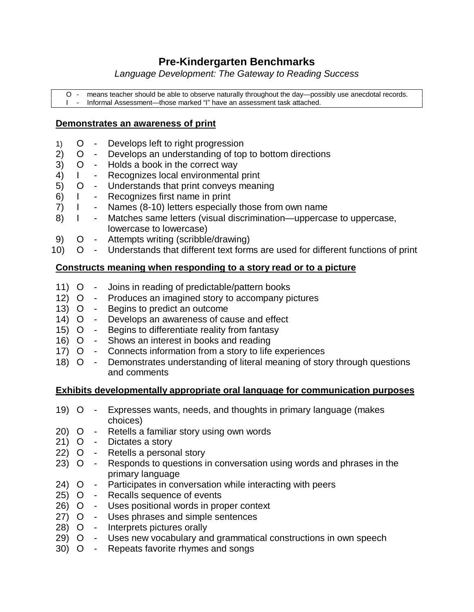## **Pre-Kindergarten Benchmarks**

*Language Development: The Gateway to Reading Success*

O - means teacher should be able to observe naturally throughout the day— possibly use anecdotal records. I - Informal Assessment— those marked "I" have an assessment task attached.

#### **Demonstrates an awareness of print**

- 1) O Develops left to right progression
- 2) O Develops an understanding of top to bottom directions
- 3) O Holds a book in the correct way
- 4) I Recognizes local environmental print
- 5) O Understands that print conveys meaning
- 6) I Recognizes first name in print
- 7) I Names (8-10) letters especially those from own name
- 8) I Matches same letters (visual discrimination—uppercase to uppercase, lowercase to lowercase)
- 9) O Attempts writing (scribble/drawing)
- 10) O Understands that different text forms are used for different functions of print

#### **Constructs meaning when responding to a story read or to a picture**

- 11) O Joins in reading of predictable/pattern books
- 12) O Produces an imagined story to accompany pictures
- 13) O Begins to predict an outcome
- 14) O Develops an awareness of cause and effect
- 15) O Begins to differentiate reality from fantasy
- 16) O Shows an interest in books and reading
- 17) O Connects information from a story to life experiences
- 18) O Demonstrates understanding of literal meaning of story through questions and comments

#### **Exhibits developmentally appropriate oral language for communication purposes**

- 19) O Expresses wants, needs, and thoughts in primary language (makes choices)
- 20) O Retells a familiar story using own words
- 21) O Dictates a story
- 22) O Retells a personal story
- 23) O Responds to questions in conversation using words and phrases in the primary language
- 24) O Participates in conversation while interacting with peers
- 25) O Recalls sequence of events
- 26) O Uses positional words in proper context
- 27) O Uses phrases and simple sentences
- 28) O Interprets pictures orally
- 29) O Uses new vocabulary and grammatical constructions in own speech
- 30) O Repeats favorite rhymes and songs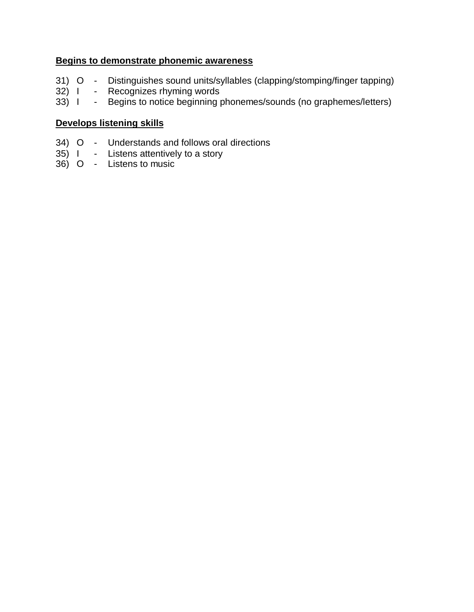#### **Begins to demonstrate phonemic awareness**

- 31) O Distinguishes sound units/syllables (clapping/stomping/finger tapping)<br>32) I Recognizes rhyming words
- 32) I Recognizes rhyming words<br>33) I Begins to notice beginning p
- Begins to notice beginning phonemes/sounds (no graphemes/letters)

#### **Develops listening skills**

- 34) O Understands and follows oral directions
- 35) I Listens attentively to a story
- 36) O Listens to music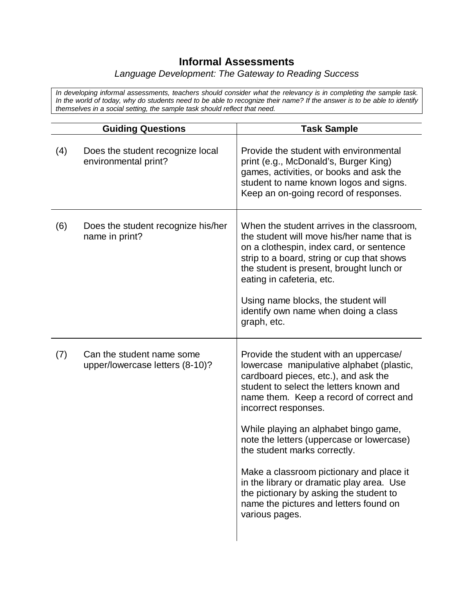## **Informal Assessments**

#### *Language Development: The Gateway to Reading Success*

*In developing informal assessments, teachers should consider what the relevancy is in completing the sample task. In the world of today, why do students need to be able to recognize their name? If the answer is to be able to identify themselves in a social setting, the sample task should reflect that need.*

|     | <b>Guiding Questions</b>                                     | <b>Task Sample</b>                                                                                                                                                                                                                                                                                                                                                                                                                                                                                                                                              |
|-----|--------------------------------------------------------------|-----------------------------------------------------------------------------------------------------------------------------------------------------------------------------------------------------------------------------------------------------------------------------------------------------------------------------------------------------------------------------------------------------------------------------------------------------------------------------------------------------------------------------------------------------------------|
| (4) | Does the student recognize local<br>environmental print?     | Provide the student with environmental<br>print (e.g., McDonald's, Burger King)<br>games, activities, or books and ask the<br>student to name known logos and signs.<br>Keep an on-going record of responses.                                                                                                                                                                                                                                                                                                                                                   |
| (6) | Does the student recognize his/her<br>name in print?         | When the student arrives in the classroom,<br>the student will move his/her name that is<br>on a clothespin, index card, or sentence<br>strip to a board, string or cup that shows<br>the student is present, brought lunch or<br>eating in cafeteria, etc.<br>Using name blocks, the student will<br>identify own name when doing a class<br>graph, etc.                                                                                                                                                                                                       |
| (7) | Can the student name some<br>upper/lowercase letters (8-10)? | Provide the student with an uppercase/<br>lowercase manipulative alphabet (plastic,<br>cardboard pieces, etc.), and ask the<br>student to select the letters known and<br>name them. Keep a record of correct and<br>incorrect responses.<br>While playing an alphabet bingo game,<br>note the letters (uppercase or lowercase)<br>the student marks correctly.<br>Make a classroom pictionary and place it<br>in the library or dramatic play area. Use<br>the pictionary by asking the student to<br>name the pictures and letters found on<br>various pages. |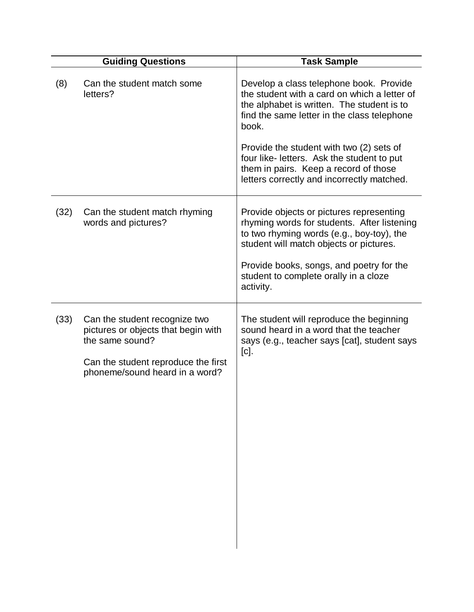|      | <b>Guiding Questions</b>                                                                                                                                         | <b>Task Sample</b>                                                                                                                                                                                                                                                                                                                                                             |
|------|------------------------------------------------------------------------------------------------------------------------------------------------------------------|--------------------------------------------------------------------------------------------------------------------------------------------------------------------------------------------------------------------------------------------------------------------------------------------------------------------------------------------------------------------------------|
| (8)  | Can the student match some<br>letters?                                                                                                                           | Develop a class telephone book. Provide<br>the student with a card on which a letter of<br>the alphabet is written. The student is to<br>find the same letter in the class telephone<br>book.<br>Provide the student with two (2) sets of<br>four like- letters. Ask the student to put<br>them in pairs. Keep a record of those<br>letters correctly and incorrectly matched. |
| (32) | Can the student match rhyming<br>words and pictures?                                                                                                             | Provide objects or pictures representing<br>rhyming words for students. After listening<br>to two rhyming words (e.g., boy-toy), the<br>student will match objects or pictures.<br>Provide books, songs, and poetry for the<br>student to complete orally in a cloze<br>activity.                                                                                              |
| (33) | Can the student recognize two<br>pictures or objects that begin with<br>the same sound?<br>Can the student reproduce the first<br>phoneme/sound heard in a word? | The student will reproduce the beginning<br>sound heard in a word that the teacher<br>says (e.g., teacher says [cat], student says<br>$[c].$                                                                                                                                                                                                                                   |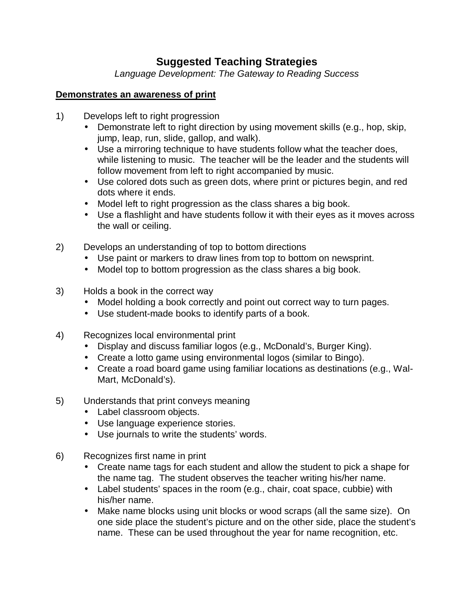## **Suggested Teaching Strategies**

*Language Development: The Gateway to Reading Success*

#### **Demonstrates an awareness of print**

- 1) Develops left to right progression
	- Demonstrate left to right direction by using movement skills (e.g., hop, skip, jump, leap, run, slide, gallop, and walk).
	- Use a mirroring technique to have students follow what the teacher does, while listening to music. The teacher will be the leader and the students will follow movement from left to right accompanied by music.
	- Use colored dots such as green dots, where print or pictures begin, and red dots where it ends.
	- Model left to right progression as the class shares a big book.
	- Use a flashlight and have students follow it with their eyes as it moves across the wall or ceiling.
- 2) Develops an understanding of top to bottom directions
	- Use paint or markers to draw lines from top to bottom on newsprint.
	- Model top to bottom progression as the class shares a big book.
- 3) Holds a book in the correct way
	- Model holding a book correctly and point out correct way to turn pages.
	- Use student-made books to identify parts of a book.
- 4) Recognizes local environmental print
	- Display and discuss familiar logos (e.g., McDonald's, Burger King).
	- Create a lotto game using environmental logos (similar to Bingo).
	- Create a road board game using familiar locations as destinations (e.g., Wal-Mart, McDonald's).
- 5) Understands that print conveys meaning
	- Label classroom objects.
	- Use language experience stories.
	- Use journals to write the students' words.
- 6) Recognizes first name in print
	- Create name tags for each student and allow the student to pick a shape for the name tag. The student observes the teacher writing his/her name.
	- Label students' spaces in the room (e.g., chair, coat space, cubbie) with his/her name.
	- Make name blocks using unit blocks or wood scraps (all the same size). On one side place the student's picture and on the other side, place the student's name. These can be used throughout the year for name recognition, etc.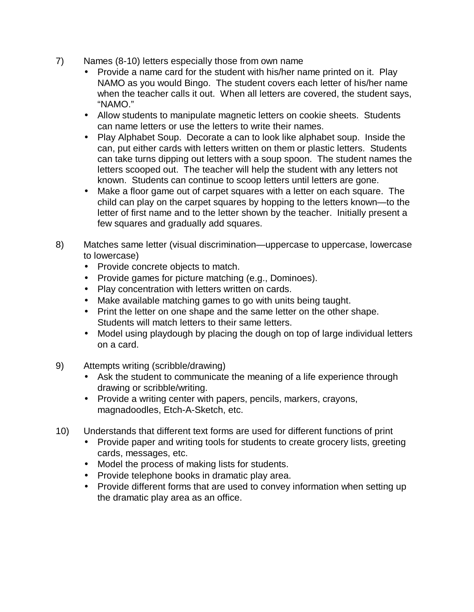- 7) Names (8-10) letters especially those from own name
	- Provide a name card for the student with his/her name printed on it. Play NAMO as you would Bingo. The student covers each letter of his/her name when the teacher calls it out. When all letters are covered, the student says, "NAMO."
	- Allow students to manipulate magnetic letters on cookie sheets. Students can name letters or use the letters to write their names.
	- Play Alphabet Soup. Decorate a can to look like alphabet soup. Inside the can, put either cards with letters written on them or plastic letters. Students can take turns dipping out letters with a soup spoon. The student names the letters scooped out. The teacher will help the student with any letters not known. Students can continue to scoop letters until letters are gone.
	- Make a floor game out of carpet squares with a letter on each square. The child can play on the carpet squares by hopping to the letters known— to the letter of first name and to the letter shown by the teacher. Initially present a few squares and gradually add squares.
- 8) Matches same letter (visual discrimination— uppercase to uppercase, lowercase to lowercase)
	- Provide concrete objects to match.
	- Provide games for picture matching (e.g., Dominoes).
	- Play concentration with letters written on cards.
	- Make available matching games to go with units being taught.
	- Print the letter on one shape and the same letter on the other shape. Students will match letters to their same letters.
	- Model using playdough by placing the dough on top of large individual letters on a card.
- 9) Attempts writing (scribble/drawing)
	- Ask the student to communicate the meaning of a life experience through drawing or scribble/writing.
	- Provide a writing center with papers, pencils, markers, crayons, magnadoodles, Etch-A-Sketch, etc.
- 10) Understands that different text forms are used for different functions of print
	- Provide paper and writing tools for students to create grocery lists, greeting cards, messages, etc.
	- Model the process of making lists for students.
	- Provide telephone books in dramatic play area.
	- Provide different forms that are used to convey information when setting up the dramatic play area as an office.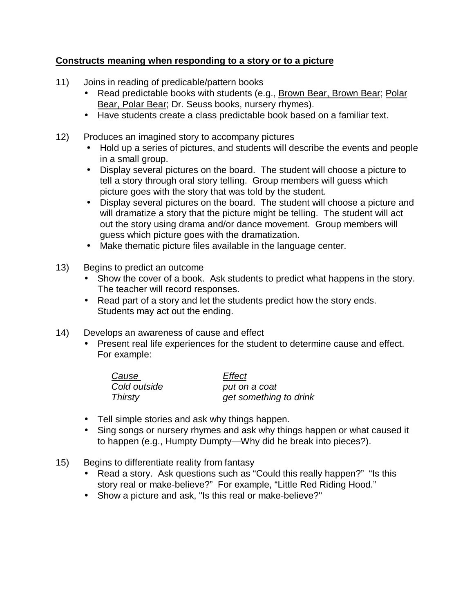#### **Constructs meaning when responding to a story or to a picture**

- 11) Joins in reading of predicable/pattern books
	- Read predictable books with students (e.g., Brown Bear, Brown Bear; Polar Bear, Polar Bear; Dr. Seuss books, nursery rhymes).
	- Have students create a class predictable book based on a familiar text.
- 12) Produces an imagined story to accompany pictures
	- Hold up a series of pictures, and students will describe the events and people in a small group.
	- Display several pictures on the board. The student will choose a picture to tell a story through oral story telling. Group members will guess which picture goes with the story that was told by the student.
	- Display several pictures on the board. The student will choose a picture and will dramatize a story that the picture might be telling. The student will act out the story using drama and/or dance movement. Group members will guess which picture goes with the dramatization.
	- Make thematic picture files available in the language center.
- 13) Begins to predict an outcome
	- Show the cover of a book. Ask students to predict what happens in the story. The teacher will record responses.
	- Read part of a story and let the students predict how the story ends. Students may act out the ending.
- 14) Develops an awareness of cause and effect
	- Present real life experiences for the student to determine cause and effect. For example:

| Cause          | Effect                 |
|----------------|------------------------|
| Cold outside   | put on a coat          |
| <b>Thirsty</b> | get something to drink |

- Tell simple stories and ask why things happen.
- Sing songs or nursery rhymes and ask why things happen or what caused it to happen (e.g., Humpty Dumpty— Why did he break into pieces?).
- 15) Begins to differentiate reality from fantasy
	- Read a story. Ask questions such as "Could this really happen?" "Is this story real or make-believe?" For example, "Little Red Riding Hood."
	- Show a picture and ask, "Is this real or make-believe?"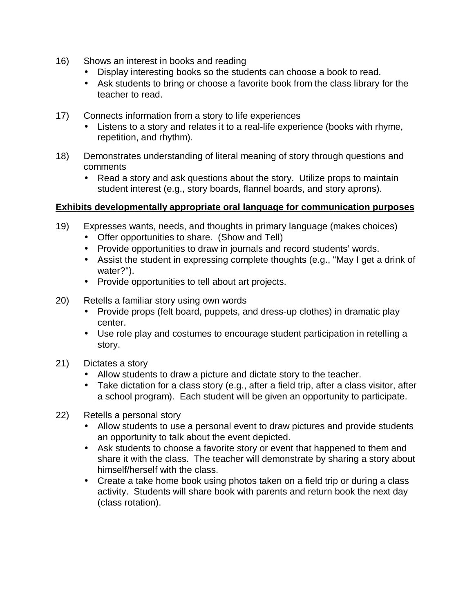- 16) Shows an interest in books and reading
	- Display interesting books so the students can choose a book to read.
	- Ask students to bring or choose a favorite book from the class library for the teacher to read.
- 17) Connects information from a story to life experiences
	- Listens to a story and relates it to a real-life experience (books with rhyme, repetition, and rhythm).
- 18) Demonstrates understanding of literal meaning of story through questions and comments
	- Read a story and ask questions about the story. Utilize props to maintain student interest (e.g., story boards, flannel boards, and story aprons).

#### **Exhibits developmentally appropriate oral language for communication purposes**

- 19) Expresses wants, needs, and thoughts in primary language (makes choices)
	- Offer opportunities to share. (Show and Tell)
	- Provide opportunities to draw in journals and record students' words.
	- Assist the student in expressing complete thoughts (e.g., "May I get a drink of water?").
	- Provide opportunities to tell about art projects.
- 20) Retells a familiar story using own words
	- Provide props (felt board, puppets, and dress-up clothes) in dramatic play center.
	- Use role play and costumes to encourage student participation in retelling a story.
- 21) Dictates a story
	- Allow students to draw a picture and dictate story to the teacher.
	- Take dictation for a class story (e.g., after a field trip, after a class visitor, after a school program). Each student will be given an opportunity to participate.
- 22) Retells a personal story
	- Allow students to use a personal event to draw pictures and provide students an opportunity to talk about the event depicted.
	- Ask students to choose a favorite story or event that happened to them and share it with the class. The teacher will demonstrate by sharing a story about himself/herself with the class.
	- Create a take home book using photos taken on a field trip or during a class activity. Students will share book with parents and return book the next day (class rotation).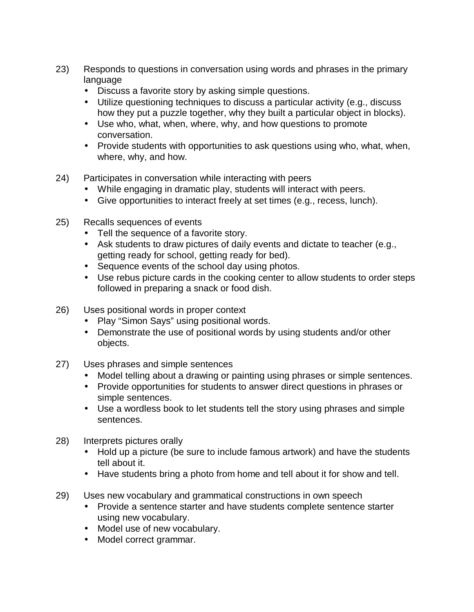- 23) Responds to questions in conversation using words and phrases in the primary language
	- Discuss a favorite story by asking simple questions.
	- Utilize questioning techniques to discuss a particular activity (e.g., discuss how they put a puzzle together, why they built a particular object in blocks).
	- Use who, what, when, where, why, and how questions to promote conversation.
	- Provide students with opportunities to ask questions using who, what, when, where, why, and how.
- 24) Participates in conversation while interacting with peers
	- While engaging in dramatic play, students will interact with peers.
	- Give opportunities to interact freely at set times (e.g., recess, lunch).
- 25) Recalls sequences of events
	- Tell the sequence of a favorite story.
	- Ask students to draw pictures of daily events and dictate to teacher (e.g., getting ready for school, getting ready for bed).
	- Sequence events of the school day using photos.
	- Use rebus picture cards in the cooking center to allow students to order steps followed in preparing a snack or food dish.
- 26) Uses positional words in proper context
	- Play "Simon Says" using positional words.
	- Demonstrate the use of positional words by using students and/or other objects.
- 27) Uses phrases and simple sentences
	- Model telling about a drawing or painting using phrases or simple sentences.
	- Provide opportunities for students to answer direct questions in phrases or simple sentences.
	- Use a wordless book to let students tell the story using phrases and simple sentences.
- 28) Interprets pictures orally
	- Hold up a picture (be sure to include famous artwork) and have the students tell about it.
	- Have students bring a photo from home and tell about it for show and tell.
- 29) Uses new vocabulary and grammatical constructions in own speech
	- Provide a sentence starter and have students complete sentence starter using new vocabulary.
	- Model use of new vocabulary.
	- Model correct grammar.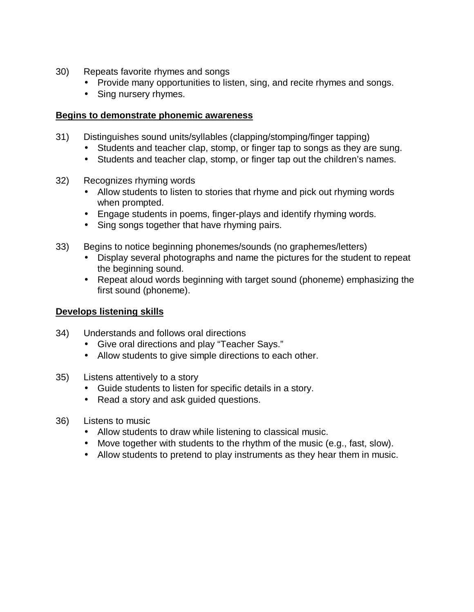- 30) Repeats favorite rhymes and songs
	- Provide many opportunities to listen, sing, and recite rhymes and songs.
	- Sing nursery rhymes.

#### **Begins to demonstrate phonemic awareness**

- 31) Distinguishes sound units/syllables (clapping/stomping/finger tapping)
	- Students and teacher clap, stomp, or finger tap to songs as they are sung.
	- Students and teacher clap, stomp, or finger tap out the children's names.
- 32) Recognizes rhyming words
	- Allow students to listen to stories that rhyme and pick out rhyming words when prompted.
	- Engage students in poems, finger-plays and identify rhyming words.
	- Sing songs together that have rhyming pairs.
- 33) Begins to notice beginning phonemes/sounds (no graphemes/letters)
	- Display several photographs and name the pictures for the student to repeat the beginning sound.
	- Repeat aloud words beginning with target sound (phoneme) emphasizing the first sound (phoneme).

#### **Develops listening skills**

- 34) Understands and follows oral directions
	- Give oral directions and play "Teacher Says."
	- Allow students to give simple directions to each other.
- 35) Listens attentively to a story
	- Guide students to listen for specific details in a story.
	- Read a story and ask guided questions.
- 36) Listens to music
	- Allow students to draw while listening to classical music.
	- Move together with students to the rhythm of the music (e.g., fast, slow).
	- Allow students to pretend to play instruments as they hear them in music.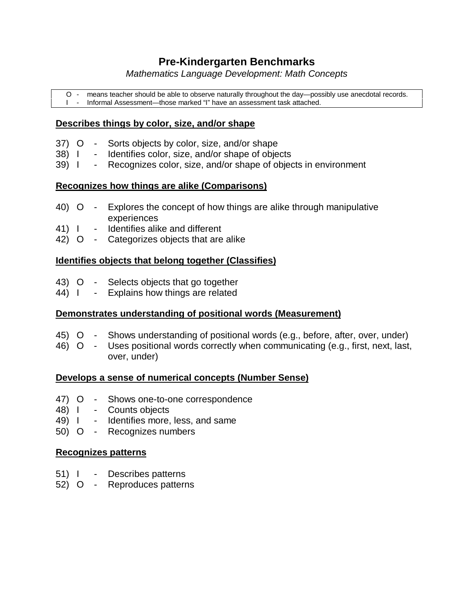## **Pre-Kindergarten Benchmarks**

*Mathematics Language Development: Math Concepts*

O - means teacher should be able to observe naturally throughout the day— possibly use anecdotal records. I - Informal Assessment— those marked "I" have an assessment task attached.

#### **Describes things by color, size, and/or shape**

- 37) O Sorts objects by color, size, and/or shape
- 38) I Identifies color, size, and/or shape of objects
- 39) I Recognizes color, size, and/or shape of objects in environment

#### **Recognizes how things are alike (Comparisons)**

- 40) O Explores the concept of how things are alike through manipulative experiences
- 41) I Identifies alike and different
- 42) O Categorizes objects that are alike

#### **Identifies objects that belong together (Classifies)**

- 43) O Selects objects that go together
- 44) I Explains how things are related

#### **Demonstrates understanding of positional words (Measurement)**

- 45) O Shows understanding of positional words (e.g., before, after, over, under)
- 46) O Uses positional words correctly when communicating (e.g., first, next, last, over, under)

#### **Develops a sense of numerical concepts (Number Sense)**

- 47) O Shows one-to-one correspondence
- 48) I Counts objects
- 49) I Identifies more, less, and same
- 50) O Recognizes numbers

#### **Recognizes patterns**

- 51) I Describes patterns
- 52) O Reproduces patterns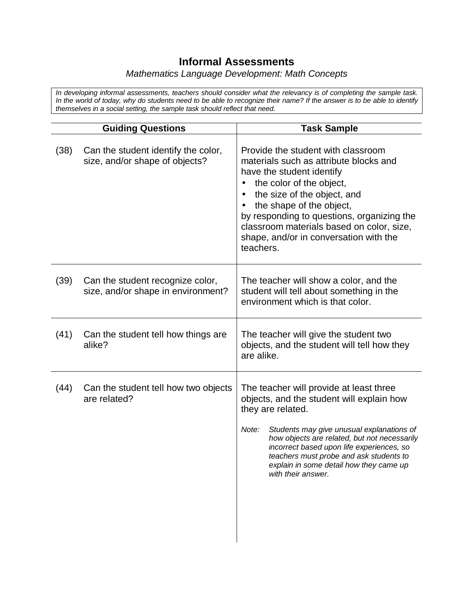## **Informal Assessments**

#### *Mathematics Language Development: Math Concepts*

*In developing informal assessments, teachers should consider what the relevancy is of completing the sample task. In the world of today, why do students need to be able to recognize their name? If the answer is to be able to identify themselves in a social setting, the sample task should reflect that need.*

|      | <b>Guiding Questions</b>                                               | <b>Task Sample</b>                                                                                                                                                                                                                                                                                                                                                       |
|------|------------------------------------------------------------------------|--------------------------------------------------------------------------------------------------------------------------------------------------------------------------------------------------------------------------------------------------------------------------------------------------------------------------------------------------------------------------|
| (38) | Can the student identify the color,<br>size, and/or shape of objects?  | Provide the student with classroom<br>materials such as attribute blocks and<br>have the student identify<br>the color of the object,<br>the size of the object, and<br>$\bullet$<br>the shape of the object,<br>by responding to questions, organizing the<br>classroom materials based on color, size,<br>shape, and/or in conversation with the<br>teachers.          |
| (39) | Can the student recognize color,<br>size, and/or shape in environment? | The teacher will show a color, and the<br>student will tell about something in the<br>environment which is that color.                                                                                                                                                                                                                                                   |
| (41) | Can the student tell how things are<br>alike?                          | The teacher will give the student two<br>objects, and the student will tell how they<br>are alike.                                                                                                                                                                                                                                                                       |
| (44) | Can the student tell how two objects<br>are related?                   | The teacher will provide at least three<br>objects, and the student will explain how<br>they are related.<br>Note:<br>Students may give unusual explanations of<br>how objects are related, but not necessarily<br>incorrect based upon life experiences, so<br>teachers must probe and ask students to<br>explain in some detail how they came up<br>with their answer. |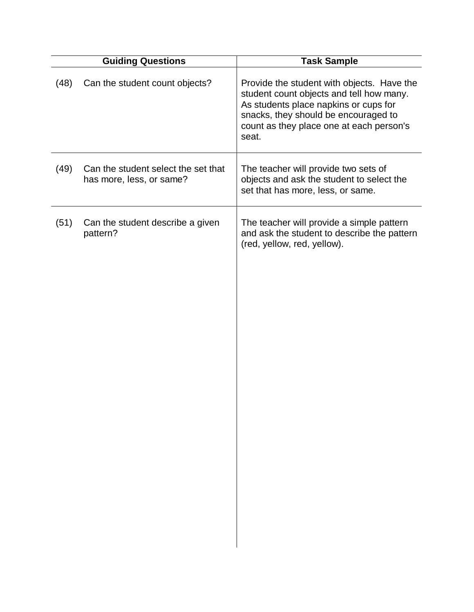|      | <b>Guiding Questions</b>                                        | <b>Task Sample</b>                                                                                                                                                                                                           |
|------|-----------------------------------------------------------------|------------------------------------------------------------------------------------------------------------------------------------------------------------------------------------------------------------------------------|
| (48) | Can the student count objects?                                  | Provide the student with objects. Have the<br>student count objects and tell how many.<br>As students place napkins or cups for<br>snacks, they should be encouraged to<br>count as they place one at each person's<br>seat. |
| (49) | Can the student select the set that<br>has more, less, or same? | The teacher will provide two sets of<br>objects and ask the student to select the<br>set that has more, less, or same.                                                                                                       |
| (51) | Can the student describe a given<br>pattern?                    | The teacher will provide a simple pattern<br>and ask the student to describe the pattern<br>(red, yellow, red, yellow).                                                                                                      |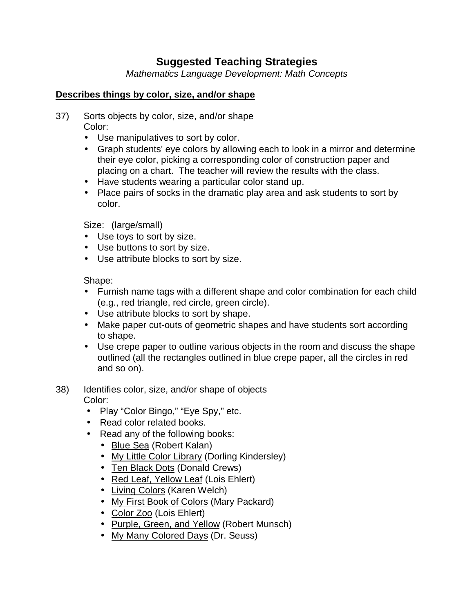## **Suggested Teaching Strategies**

*Mathematics Language Development: Math Concepts*

#### **Describes things by color, size, and/or shape**

- 37) Sorts objects by color, size, and/or shape Color:
	- Use manipulatives to sort by color.
	- Graph students' eye colors by allowing each to look in a mirror and determine their eye color, picking a corresponding color of construction paper and placing on a chart. The teacher will review the results with the class.
	- Have students wearing a particular color stand up.
	- Place pairs of socks in the dramatic play area and ask students to sort by color.

Size: (large/small)

- Use toys to sort by size.
- Use buttons to sort by size.
- Use attribute blocks to sort by size.

Shape:

- Furnish name tags with a different shape and color combination for each child (e.g., red triangle, red circle, green circle).
- Use attribute blocks to sort by shape.
- Make paper cut-outs of geometric shapes and have students sort according to shape.
- Use crepe paper to outline various objects in the room and discuss the shape outlined (all the rectangles outlined in blue crepe paper, all the circles in red and so on).
- 38) Identifies color, size, and/or shape of objects Color:
	- Play "Color Bingo," "Eye Spy," etc.
	- Read color related books.
	- Read any of the following books:
		- Blue Sea (Robert Kalan)
		- My Little Color Library (Dorling Kindersley)
		- Ten Black Dots (Donald Crews)
		- Red Leaf, Yellow Leaf (Lois Ehlert)
		- Living Colors (Karen Welch)
		- My First Book of Colors (Mary Packard)
		- Color Zoo (Lois Ehlert)
		- Purple, Green, and Yellow (Robert Munsch)
		- My Many Colored Days (Dr. Seuss)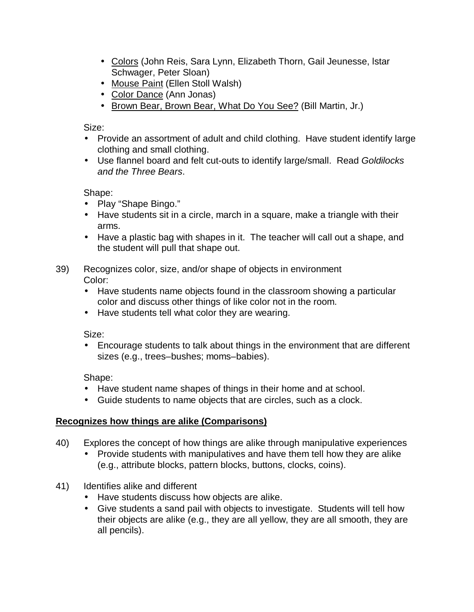- Colors (John Reis, Sara Lynn, Elizabeth Thorn, Gail Jeunesse, Istar Schwager, Peter Sloan)
- Mouse Paint (Ellen Stoll Walsh)
- Color Dance (Ann Jonas)
- Brown Bear, Brown Bear, What Do You See? (Bill Martin, Jr.)

Size:

- Provide an assortment of adult and child clothing. Have student identify large clothing and small clothing.
- Use flannel board and felt cut-outs to identify large/small. Read *Goldilocks and the Three Bears*.

Shape:

- Play "Shape Bingo."
- Have students sit in a circle, march in a square, make a triangle with their arms.
- Have a plastic bag with shapes in it. The teacher will call out a shape, and the student will pull that shape out.
- 39) Recognizes color, size, and/or shape of objects in environment Color:
	- Have students name objects found in the classroom showing a particular color and discuss other things of like color not in the room.
	- Have students tell what color they are wearing.

Size:

• Encourage students to talk about things in the environment that are different sizes (e.g., trees–bushes; moms–babies).

Shape:

- Have student name shapes of things in their home and at school.
- Guide students to name objects that are circles, such as a clock.

#### **Recognizes how things are alike (Comparisons)**

- 40) Explores the concept of how things are alike through manipulative experiences
	- Provide students with manipulatives and have them tell how they are alike (e.g., attribute blocks, pattern blocks, buttons, clocks, coins).
- 41) Identifies alike and different
	- Have students discuss how objects are alike.
	- Give students a sand pail with objects to investigate. Students will tell how their objects are alike (e.g., they are all yellow, they are all smooth, they are all pencils).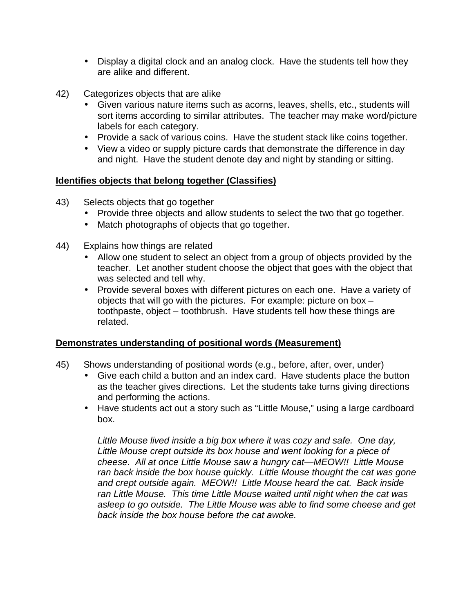- Display a digital clock and an analog clock. Have the students tell how they are alike and different.
- 42) Categorizes objects that are alike
	- Given various nature items such as acorns, leaves, shells, etc., students will sort items according to similar attributes. The teacher may make word/picture labels for each category.
	- Provide a sack of various coins. Have the student stack like coins together.
	- View a video or supply picture cards that demonstrate the difference in day and night. Have the student denote day and night by standing or sitting.

#### **Identifies objects that belong together (Classifies)**

- 43) Selects objects that go together
	- Provide three objects and allow students to select the two that go together.
	- Match photographs of objects that go together.
- 44) Explains how things are related
	- Allow one student to select an object from a group of objects provided by the teacher. Let another student choose the object that goes with the object that was selected and tell why.
	- Provide several boxes with different pictures on each one. Have a variety of objects that will go with the pictures. For example: picture on box – toothpaste, object – toothbrush. Have students tell how these things are related.

#### **Demonstrates understanding of positional words (Measurement)**

- 45) Shows understanding of positional words (e.g., before, after, over, under)
	- Give each child a button and an index card. Have students place the button as the teacher gives directions. Let the students take turns giving directions and performing the actions.
	- Have students act out a story such as "Little Mouse," using a large cardboard box.

*Little Mouse lived inside a big box where it was cozy and safe. One day, Little Mouse crept outside its box house and went looking for a piece of cheese. All at once Little Mouse saw a hungry cat— MEOW!! Little Mouse ran back inside the box house quickly. Little Mouse thought the cat was gone and crept outside again. MEOW!! Little Mouse heard the cat. Back inside ran Little Mouse. This time Little Mouse waited until night when the cat was asleep to go outside. The Little Mouse was able to find some cheese and get back inside the box house before the cat awoke.*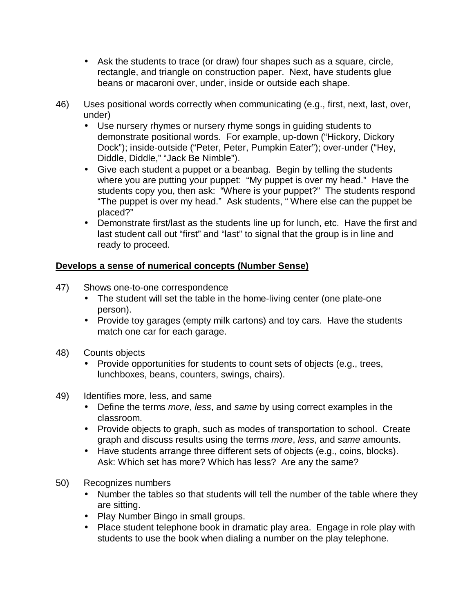- Ask the students to trace (or draw) four shapes such as a square, circle, rectangle, and triangle on construction paper. Next, have students glue beans or macaroni over, under, inside or outside each shape.
- 46) Uses positional words correctly when communicating (e.g., first, next, last, over, under)
	- Use nursery rhymes or nursery rhyme songs in guiding students to demonstrate positional words. For example, up-down ("Hickory, Dickory Dock"); inside-outside ("Peter, Peter, Pumpkin Eater"); over-under ("Hey, Diddle, Diddle," "Jack Be Nimble").
	- Give each student a puppet or a beanbag. Begin by telling the students where you are putting your puppet: "My puppet is over my head." Have the students copy you, then ask: "Where is your puppet?" The students respond "The puppet is over my head." Ask students, "Where else can the puppet be placed?"
	- Demonstrate first/last as the students line up for lunch, etc. Have the first and last student call out "first" and "last" to signal that the group is in line and ready to proceed.

#### **Develops a sense of numerical concepts (Number Sense)**

- 47) Shows one-to-one correspondence
	- The student will set the table in the home-living center (one plate-one person).
	- Provide toy garages (empty milk cartons) and toy cars. Have the students match one car for each garage.
- 48) Counts objects
	- Provide opportunities for students to count sets of objects (e.g., trees, lunchboxes, beans, counters, swings, chairs).
- 49) Identifies more, less, and same
	- Define the terms *more*, *less*, and *same* by using correct examples in the classroom.
	- Provide objects to graph, such as modes of transportation to school. Create graph and discuss results using the terms *more*, *less*, and *same* amounts.
	- Have students arrange three different sets of objects (e.g., coins, blocks). Ask: Which set has more? Which has less? Are any the same?
- 50) Recognizes numbers
	- Number the tables so that students will tell the number of the table where they are sitting.
	- Play Number Bingo in small groups.
	- Place student telephone book in dramatic play area. Engage in role play with students to use the book when dialing a number on the play telephone.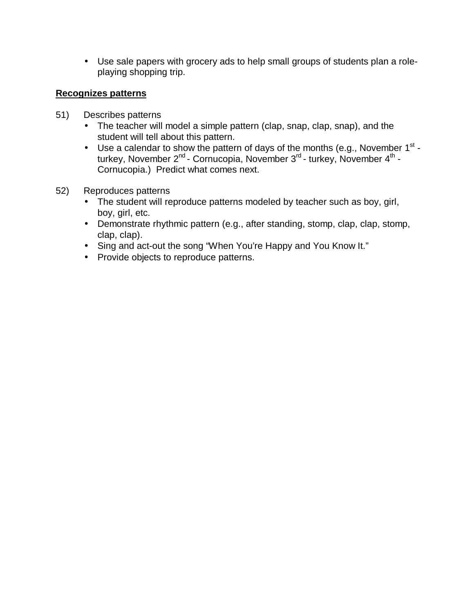• Use sale papers with grocery ads to help small groups of students plan a roleplaying shopping trip.

#### **Recognizes patterns**

- 51) Describes patterns
	- The teacher will model a simple pattern (clap, snap, clap, snap), and the student will tell about this pattern.
	- Use a calendar to show the pattern of days of the months (e.g., November  $1^{st}$  turkey, November 2<sup>nd</sup> - Cornucopia, November 3<sup>rd</sup> - turkey, November 4<sup>th</sup> -Cornucopia.) Predict what comes next.
- 52) Reproduces patterns
	- The student will reproduce patterns modeled by teacher such as boy, girl, boy, girl, etc.
	- Demonstrate rhythmic pattern (e.g., after standing, stomp, clap, clap, stomp, clap, clap).
	- Sing and act-out the song "When You're Happy and You Know It."
	- Provide objects to reproduce patterns.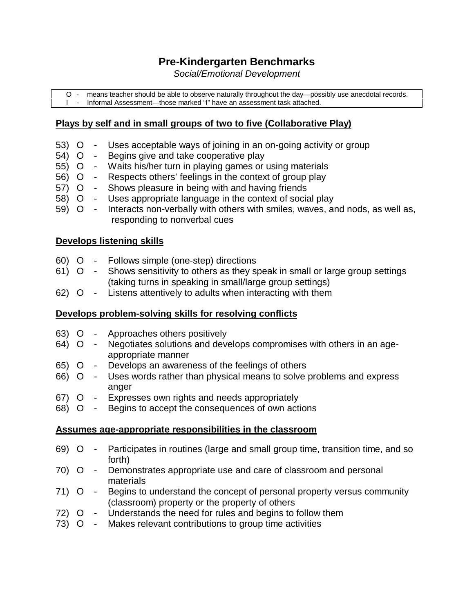## **Pre-Kindergarten Benchmarks**

*Social/Emotional Development*

O - means teacher should be able to observe naturally throughout the day— possibly use anecdotal records. I - Informal Assessment— those marked "I" have an assessment task attached.

#### **Plays by self and in small groups of two to five (Collaborative Play)**

- 53) O Uses acceptable ways of joining in an on-going activity or group
- 54) O Begins give and take cooperative play
- 55) O Waits his/her turn in playing games or using materials
- 56) O Respects others' feelings in the context of group play
- 57) O Shows pleasure in being with and having friends
- 58) O Uses appropriate language in the context of social play
- 59) O Interacts non-verbally with others with smiles, waves, and nods, as well as, responding to nonverbal cues

#### **Develops listening skills**

- 60) O Follows simple (one-step) directions
- 61) O Shows sensitivity to others as they speak in small or large group settings (taking turns in speaking in small/large group settings)
- 62) O Listens attentively to adults when interacting with them

#### **Develops problem-solving skills for resolving conflicts**

- 63) O Approaches others positively
- 64) O Negotiates solutions and develops compromises with others in an ageappropriate manner
- 65) O Develops an awareness of the feelings of others
- 66) O Uses words rather than physical means to solve problems and express anger
- 67) O Expresses own rights and needs appropriately
- 68) O Begins to accept the consequences of own actions

#### **Assumes age-appropriate responsibilities in the classroom**

- 69) O Participates in routines (large and small group time, transition time, and so forth)
- 70) O Demonstrates appropriate use and care of classroom and personal materials
- 71) O Begins to understand the concept of personal property versus community (classroom) property or the property of others
- 72) O Understands the need for rules and begins to follow them
- 73) O Makes relevant contributions to group time activities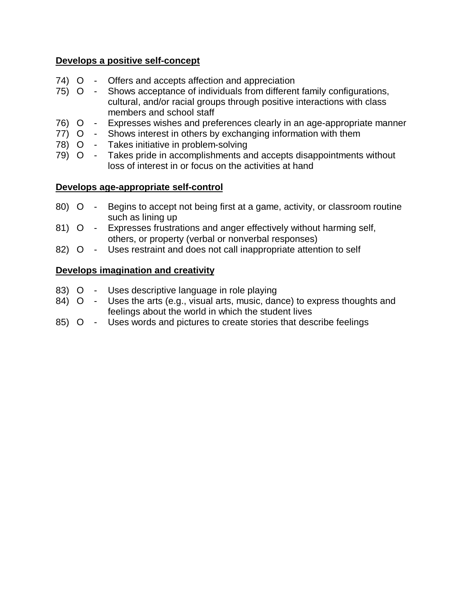#### **Develops a positive self-concept**

- 74) O Offers and accepts affection and appreciation
- 75) O Shows acceptance of individuals from different family configurations, cultural, and/or racial groups through positive interactions with class members and school staff
- 76) O Expresses wishes and preferences clearly in an age-appropriate manner
- 77) O Shows interest in others by exchanging information with them
- 78) O Takes initiative in problem-solving
- 79) O Takes pride in accomplishments and accepts disappointments without loss of interest in or focus on the activities at hand

#### **Develops age-appropriate self-control**

- 80) O Begins to accept not being first at a game, activity, or classroom routine such as lining up
- 81) O Expresses frustrations and anger effectively without harming self, others, or property (verbal or nonverbal responses)
- 82) O Uses restraint and does not call inappropriate attention to self

#### **Develops imagination and creativity**

- 83) O Uses descriptive language in role playing
- 84) O Uses the arts (e.g., visual arts, music, dance) to express thoughts and feelings about the world in which the student lives
- 85) O Uses words and pictures to create stories that describe feelings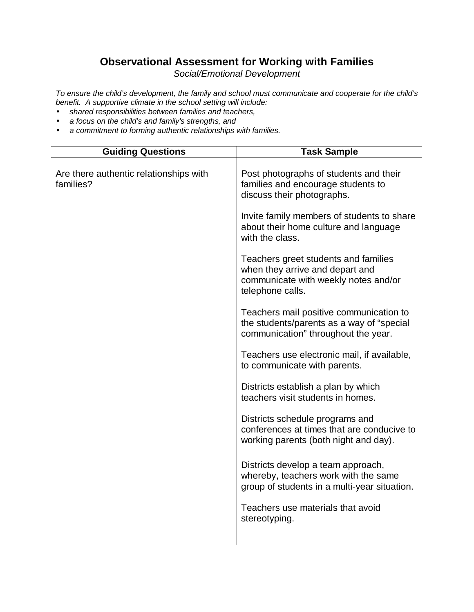## **Observational Assessment for Working with Families**

*Social/Emotional Development*

*To ensure the child's development, the family and school must communicate and cooperate for the child's benefit. A supportive climate in the school setting will include:*

- *shared responsibilities between families and teachers,*
- *a focus on the child's and family's strengths, and*
- *a commitment to forming authentic relationships with families.*

| <b>Guiding Questions</b>                            | Task Sample                                                                                                                         |
|-----------------------------------------------------|-------------------------------------------------------------------------------------------------------------------------------------|
| Are there authentic relationships with<br>families? | Post photographs of students and their<br>families and encourage students to<br>discuss their photographs.                          |
|                                                     | Invite family members of students to share<br>about their home culture and language<br>with the class.                              |
|                                                     | Teachers greet students and families<br>when they arrive and depart and<br>communicate with weekly notes and/or<br>telephone calls. |
|                                                     | Teachers mail positive communication to<br>the students/parents as a way of "special<br>communication" throughout the year.         |
|                                                     | Teachers use electronic mail, if available,<br>to communicate with parents.                                                         |
|                                                     | Districts establish a plan by which<br>teachers visit students in homes.                                                            |
|                                                     | Districts schedule programs and<br>conferences at times that are conducive to<br>working parents (both night and day).              |
|                                                     | Districts develop a team approach,<br>whereby, teachers work with the same<br>group of students in a multi-year situation.          |
|                                                     | Teachers use materials that avoid<br>stereotyping.                                                                                  |
|                                                     |                                                                                                                                     |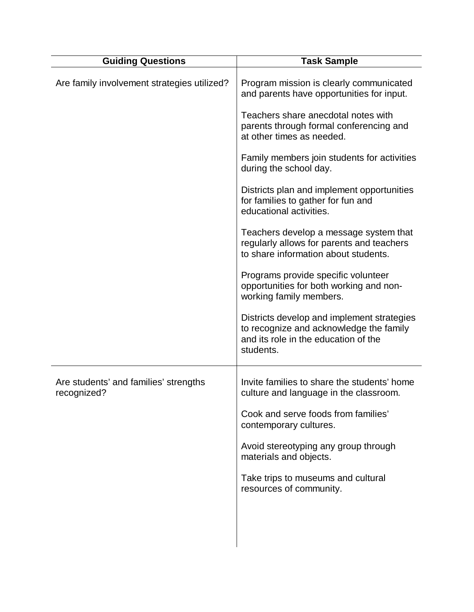| <b>Guiding Questions</b>                             | <b>Task Sample</b>                                                                                                                         |
|------------------------------------------------------|--------------------------------------------------------------------------------------------------------------------------------------------|
| Are family involvement strategies utilized?          | Program mission is clearly communicated<br>and parents have opportunities for input.                                                       |
|                                                      | Teachers share anecdotal notes with<br>parents through formal conferencing and<br>at other times as needed.                                |
|                                                      | Family members join students for activities<br>during the school day.                                                                      |
|                                                      | Districts plan and implement opportunities<br>for families to gather for fun and<br>educational activities.                                |
|                                                      | Teachers develop a message system that<br>regularly allows for parents and teachers<br>to share information about students.                |
|                                                      | Programs provide specific volunteer<br>opportunities for both working and non-<br>working family members.                                  |
|                                                      | Districts develop and implement strategies<br>to recognize and acknowledge the family<br>and its role in the education of the<br>students. |
| Are students' and families' strengths<br>recognized? | Invite families to share the students' home<br>culture and language in the classroom.                                                      |
|                                                      | Cook and serve foods from families'<br>contemporary cultures.                                                                              |
|                                                      | Avoid stereotyping any group through<br>materials and objects.                                                                             |
|                                                      | Take trips to museums and cultural<br>resources of community.                                                                              |
|                                                      |                                                                                                                                            |
|                                                      |                                                                                                                                            |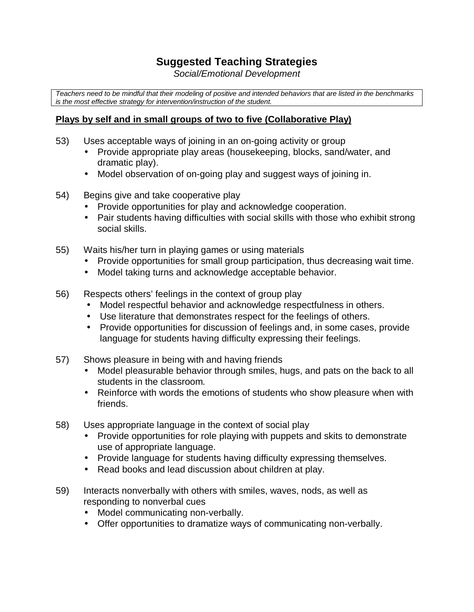## **Suggested Teaching Strategies**

*Social/Emotional Development*

*Teachers need to be mindful that their modeling of positive and intended behaviors that are listed in the benchmarks is the most effective strategy for intervention/instruction of the student.*

#### **Plays by self and in small groups of two to five (Collaborative Play)**

- 53) Uses acceptable ways of joining in an on-going activity or group
	- Provide appropriate play areas (housekeeping, blocks, sand/water, and dramatic play).
	- Model observation of on-going play and suggest ways of joining in.
- 54) Begins give and take cooperative play
	- Provide opportunities for play and acknowledge cooperation.
	- Pair students having difficulties with social skills with those who exhibit strong social skills.
- 55) Waits his/her turn in playing games or using materials
	- Provide opportunities for small group participation, thus decreasing wait time.
	- Model taking turns and acknowledge acceptable behavior.
- 56) Respects others' feelings in the context of group play
	- Model respectful behavior and acknowledge respectfulness in others.
	- Use literature that demonstrates respect for the feelings of others.
	- Provide opportunities for discussion of feelings and, in some cases, provide language for students having difficulty expressing their feelings.
- 57) Shows pleasure in being with and having friends
	- Model pleasurable behavior through smiles, hugs, and pats on the back to all students in the classroom.
	- Reinforce with words the emotions of students who show pleasure when with friends.
- 58) Uses appropriate language in the context of social play
	- Provide opportunities for role playing with puppets and skits to demonstrate use of appropriate language.
	- Provide language for students having difficulty expressing themselves.
	- Read books and lead discussion about children at play.
- 59) Interacts nonverbally with others with smiles, waves, nods, as well as responding to nonverbal cues
	- Model communicating non-verbally.
	- Offer opportunities to dramatize ways of communicating non-verbally.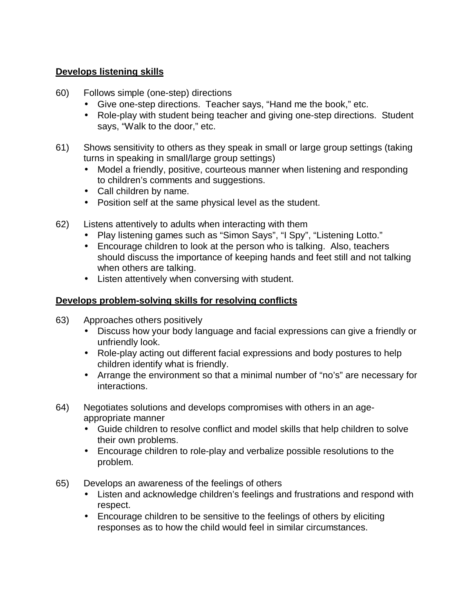#### **Develops listening skills**

- 60) Follows simple (one-step) directions
	- Give one-step directions. Teacher says, "Hand me the book," etc.
	- Role-play with student being teacher and giving one-step directions. Student says, "Walk to the door," etc.
- 61) Shows sensitivity to others as they speak in small or large group settings (taking turns in speaking in small/large group settings)
	- Model a friendly, positive, courteous manner when listening and responding to children's comments and suggestions.
	- Call children by name.
	- Position self at the same physical level as the student.
- 62) Listens attentively to adults when interacting with them
	- Play listening games such as "Simon Says", "I Spy", "Listening Lotto."
	- Encourage children to look at the person who is talking. Also, teachers should discuss the importance of keeping hands and feet still and not talking when others are talking.
	- Listen attentively when conversing with student.

#### **Develops problem-solving skills for resolving conflicts**

- 63) Approaches others positively
	- Discuss how your body language and facial expressions can give a friendly or unfriendly look.
	- Role-play acting out different facial expressions and body postures to help children identify what is friendly.
	- Arrange the environment so that a minimal number of "no's" are necessary for interactions.
- 64) Negotiates solutions and develops compromises with others in an ageappropriate manner
	- Guide children to resolve conflict and model skills that help children to solve their own problems.
	- Encourage children to role-play and verbalize possible resolutions to the problem.
- 65) Develops an awareness of the feelings of others
	- Listen and acknowledge children's feelings and frustrations and respond with respect.
	- Encourage children to be sensitive to the feelings of others by eliciting responses as to how the child would feel in similar circumstances.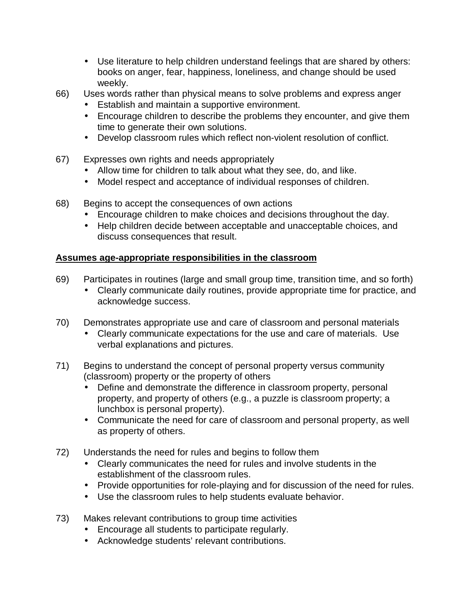- Use literature to help children understand feelings that are shared by others: books on anger, fear, happiness, loneliness, and change should be used weekly.
- 66) Uses words rather than physical means to solve problems and express anger
	- Establish and maintain a supportive environment.
	- Encourage children to describe the problems they encounter, and give them time to generate their own solutions.
	- Develop classroom rules which reflect non-violent resolution of conflict.
- 67) Expresses own rights and needs appropriately
	- Allow time for children to talk about what they see, do, and like.
	- Model respect and acceptance of individual responses of children.
- 68) Begins to accept the consequences of own actions
	- Encourage children to make choices and decisions throughout the day.
	- Help children decide between acceptable and unacceptable choices, and discuss consequences that result.

#### **Assumes age-appropriate responsibilities in the classroom**

- 69) Participates in routines (large and small group time, transition time, and so forth)
	- Clearly communicate daily routines, provide appropriate time for practice, and acknowledge success.
- 70) Demonstrates appropriate use and care of classroom and personal materials
	- Clearly communicate expectations for the use and care of materials. Use verbal explanations and pictures.
- 71) Begins to understand the concept of personal property versus community (classroom) property or the property of others
	- Define and demonstrate the difference in classroom property, personal property, and property of others (e.g., a puzzle is classroom property; a lunchbox is personal property).
	- Communicate the need for care of classroom and personal property, as well as property of others.
- 72) Understands the need for rules and begins to follow them
	- Clearly communicates the need for rules and involve students in the establishment of the classroom rules.
	- Provide opportunities for role-playing and for discussion of the need for rules.
	- Use the classroom rules to help students evaluate behavior.
- 73) Makes relevant contributions to group time activities
	- Encourage all students to participate regularly.
	- Acknowledge students' relevant contributions.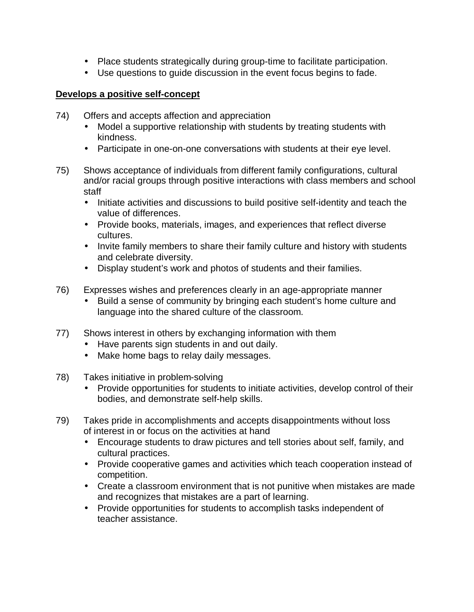- Place students strategically during group-time to facilitate participation.
- Use questions to guide discussion in the event focus begins to fade.

#### **Develops a positive self-concept**

- 74) Offers and accepts affection and appreciation
	- Model a supportive relationship with students by treating students with kindness.
	- Participate in one-on-one conversations with students at their eye level.
- 75) Shows acceptance of individuals from different family configurations, cultural and/or racial groups through positive interactions with class members and school staff
	- Initiate activities and discussions to build positive self-identity and teach the value of differences.
	- Provide books, materials, images, and experiences that reflect diverse cultures.
	- Invite family members to share their family culture and history with students and celebrate diversity.
	- Display student's work and photos of students and their families.
- 76) Expresses wishes and preferences clearly in an age-appropriate manner
	- Build a sense of community by bringing each student's home culture and language into the shared culture of the classroom.
- 77) Shows interest in others by exchanging information with them
	- Have parents sign students in and out daily.
	- Make home bags to relay daily messages.
- 78) Takes initiative in problem-solving
	- Provide opportunities for students to initiate activities, develop control of their bodies, and demonstrate self-help skills.
- 79) Takes pride in accomplishments and accepts disappointments without loss of interest in or focus on the activities at hand
	- Encourage students to draw pictures and tell stories about self, family, and cultural practices.
	- Provide cooperative games and activities which teach cooperation instead of competition.
	- Create a classroom environment that is not punitive when mistakes are made and recognizes that mistakes are a part of learning.
	- Provide opportunities for students to accomplish tasks independent of teacher assistance.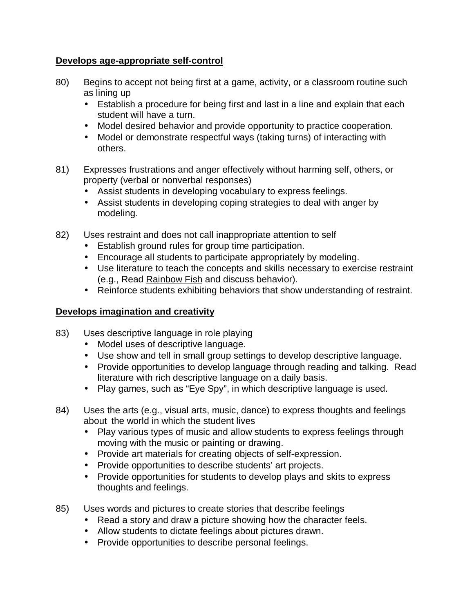#### **Develops age-appropriate self-control**

- 80) Begins to accept not being first at a game, activity, or a classroom routine such as lining up
	- Establish a procedure for being first and last in a line and explain that each student will have a turn.
	- Model desired behavior and provide opportunity to practice cooperation.
	- Model or demonstrate respectful ways (taking turns) of interacting with others.
- 81) Expresses frustrations and anger effectively without harming self, others, or property (verbal or nonverbal responses)
	- Assist students in developing vocabulary to express feelings.
	- Assist students in developing coping strategies to deal with anger by modeling.
- 82) Uses restraint and does not call inappropriate attention to self
	- Establish ground rules for group time participation.
	- Encourage all students to participate appropriately by modeling.
	- Use literature to teach the concepts and skills necessary to exercise restraint (e.g., Read Rainbow Fish and discuss behavior).
	- Reinforce students exhibiting behaviors that show understanding of restraint.

#### **Develops imagination and creativity**

- 83) Uses descriptive language in role playing
	- Model uses of descriptive language.
	- Use show and tell in small group settings to develop descriptive language.
	- Provide opportunities to develop language through reading and talking. Read literature with rich descriptive language on a daily basis.
	- Play games, such as "Eye Spy", in which descriptive language is used.
- 84) Uses the arts (e.g., visual arts, music, dance) to express thoughts and feelings about the world in which the student lives
	- Play various types of music and allow students to express feelings through moving with the music or painting or drawing.
	- Provide art materials for creating objects of self-expression.
	- Provide opportunities to describe students' art projects.
	- Provide opportunities for students to develop plays and skits to express thoughts and feelings.
- 85) Uses words and pictures to create stories that describe feelings
	- Read a story and draw a picture showing how the character feels.
	- Allow students to dictate feelings about pictures drawn.
	- Provide opportunities to describe personal feelings.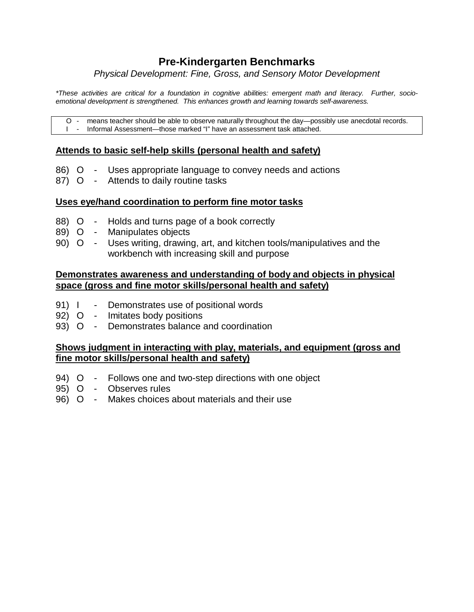## **Pre-Kindergarten Benchmarks**

*Physical Development: Fine, Gross, and Sensory Motor Development*

*\*These activities are critical for a foundation in cognitive abilities: emergent math and literacy. Further, socioemotional development is strengthened. This enhances growth and learning towards self-awareness.*

O - means teacher should be able to observe naturally throughout the day—possibly use anecdotal records. I - Informal Assessment— those marked "I" have an assessment task attached.

#### **Attends to basic self-help skills (personal health and safety)**

- 86) O Uses appropriate language to convey needs and actions
- 87) O Attends to daily routine tasks

#### **Uses eye/hand coordination to perform fine motor tasks**

- 88) O Holds and turns page of a book correctly
- 89) O Manipulates objects
- 90) O Uses writing, drawing, art, and kitchen tools/manipulatives and the workbench with increasing skill and purpose

#### **Demonstrates awareness and understanding of body and objects in physical space (gross and fine motor skills/personal health and safety)**

- 91) I Demonstrates use of positional words
- 92) O Imitates body positions
- 93) O Demonstrates balance and coordination

#### **Shows judgment in interacting with play, materials, and equipment (gross and fine motor skills/personal health and safety)**

- 94) O Follows one and two-step directions with one object
- 95) O Observes rules
- 96) O Makes choices about materials and their use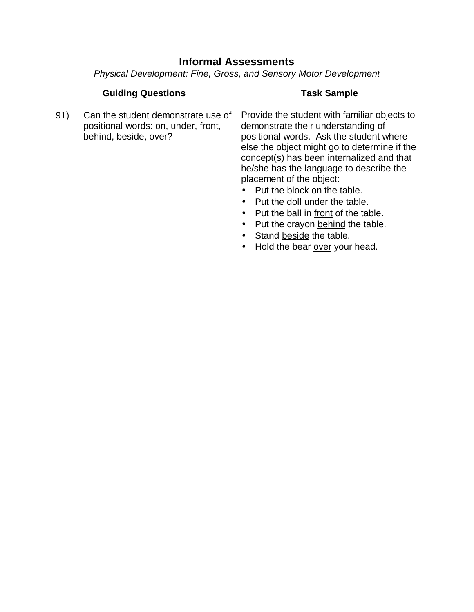## **Informal Assessments**

*Physical Development: Fine, Gross, and Sensory Motor Development*

|     | <b>Guiding Questions</b>                                                                           | <b>Task Sample</b>                                                                                                                                                                                                                                                                                                                                                                                                                                                                                                                                                                     |
|-----|----------------------------------------------------------------------------------------------------|----------------------------------------------------------------------------------------------------------------------------------------------------------------------------------------------------------------------------------------------------------------------------------------------------------------------------------------------------------------------------------------------------------------------------------------------------------------------------------------------------------------------------------------------------------------------------------------|
| 91) | Can the student demonstrate use of<br>positional words: on, under, front,<br>behind, beside, over? | Provide the student with familiar objects to<br>demonstrate their understanding of<br>positional words. Ask the student where<br>else the object might go to determine if the<br>concept(s) has been internalized and that<br>he/she has the language to describe the<br>placement of the object:<br>Put the block on the table.<br>$\bullet$<br>Put the doll under the table.<br>$\bullet$<br>Put the ball in front of the table.<br>$\bullet$<br>Put the crayon behind the table.<br>$\bullet$<br>Stand beside the table.<br>$\bullet$<br>Hold the bear over your head.<br>$\bullet$ |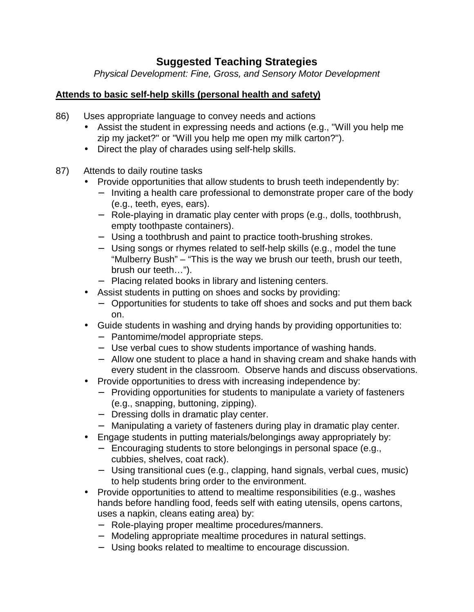## **Suggested Teaching Strategies**

*Physical Development: Fine, Gross, and Sensory Motor Development*

#### **Attends to basic self-help skills (personal health and safety)**

- 86) Uses appropriate language to convey needs and actions
	- Assist the student in expressing needs and actions (e.g., "Will you help me zip my jacket?" or "Will you help me open my milk carton?").
	- Direct the play of charades using self-help skills.
- 87) Attends to daily routine tasks
	- Provide opportunities that allow students to brush teeth independently by:
		- − Inviting a health care professional to demonstrate proper care of the body (e.g., teeth, eyes, ears).
		- − Role-playing in dramatic play center with props (e.g., dolls, toothbrush, empty toothpaste containers).
		- − Using a toothbrush and paint to practice tooth-brushing strokes.
		- − Using songs or rhymes related to self-help skills (e.g., model the tune "Mulberry Bush" – "This is the way we brush our teeth, brush our teeth, brush our teeth… ").
		- − Placing related books in library and listening centers.
	- Assist students in putting on shoes and socks by providing:
		- − Opportunities for students to take off shoes and socks and put them back on.
	- Guide students in washing and drying hands by providing opportunities to:
		- − Pantomime/model appropriate steps.
		- − Use verbal cues to show students importance of washing hands.
		- − Allow one student to place a hand in shaving cream and shake hands with every student in the classroom. Observe hands and discuss observations.
	- Provide opportunities to dress with increasing independence by:
		- − Providing opportunities for students to manipulate a variety of fasteners (e.g., snapping, buttoning, zipping).
		- − Dressing dolls in dramatic play center.
		- − Manipulating a variety of fasteners during play in dramatic play center.
	- Engage students in putting materials/belongings away appropriately by:
		- − Encouraging students to store belongings in personal space (e.g., cubbies, shelves, coat rack).
		- − Using transitional cues (e.g., clapping, hand signals, verbal cues, music) to help students bring order to the environment.
	- Provide opportunities to attend to mealtime responsibilities (e.g., washes hands before handling food, feeds self with eating utensils, opens cartons, uses a napkin, cleans eating area) by:
		- − Role-playing proper mealtime procedures/manners.
		- − Modeling appropriate mealtime procedures in natural settings.
		- − Using books related to mealtime to encourage discussion.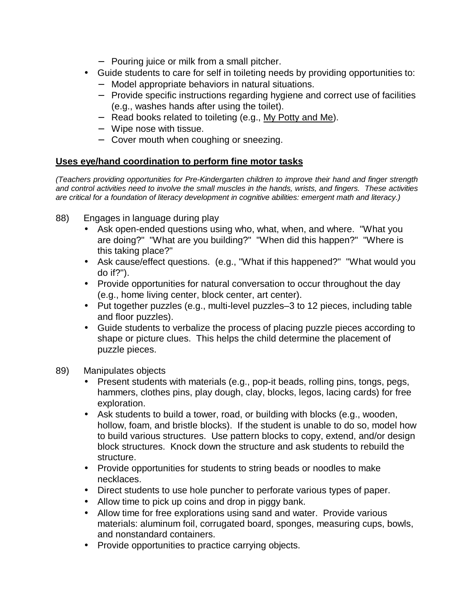- − Pouring juice or milk from a small pitcher.
- Guide students to care for self in toileting needs by providing opportunities to:
	- − Model appropriate behaviors in natural situations.
	- − Provide specific instructions regarding hygiene and correct use of facilities (e.g., washes hands after using the toilet).
	- − Read books related to toileting (e.g., My Potty and Me).
	- − Wipe nose with tissue.
	- − Cover mouth when coughing or sneezing.

#### **Uses eye/hand coordination to perform fine motor tasks**

*(Teachers providing opportunities for Pre-Kindergarten children to improve their hand and finger strength and control activities need to involve the small muscles in the hands, wrists, and fingers. These activities are critical for a foundation of literacy development in cognitive abilities: emergent math and literacy.)*

- 88) Engages in language during play
	- Ask open-ended questions using who, what, when, and where. "What you are doing?" "What are you building?" "When did this happen?" "Where is this taking place?"
	- Ask cause/effect questions. (e.g., "What if this happened?" "What would you do if?").
	- Provide opportunities for natural conversation to occur throughout the day (e.g., home living center, block center, art center).
	- Put together puzzles (e.g., multi-level puzzles–3 to 12 pieces, including table and floor puzzles).
	- Guide students to verbalize the process of placing puzzle pieces according to shape or picture clues. This helps the child determine the placement of puzzle pieces.
- 89) Manipulates objects
	- Present students with materials (e.g., pop-it beads, rolling pins, tongs, pegs, hammers, clothes pins, play dough, clay, blocks, legos, lacing cards) for free exploration.
	- Ask students to build a tower, road, or building with blocks (e.g., wooden, hollow, foam, and bristle blocks). If the student is unable to do so, model how to build various structures. Use pattern blocks to copy, extend, and/or design block structures. Knock down the structure and ask students to rebuild the structure.
	- Provide opportunities for students to string beads or noodles to make necklaces.
	- Direct students to use hole puncher to perforate various types of paper.
	- Allow time to pick up coins and drop in piggy bank.
	- Allow time for free explorations using sand and water. Provide various materials: aluminum foil, corrugated board, sponges, measuring cups, bowls, and nonstandard containers.
	- Provide opportunities to practice carrying objects.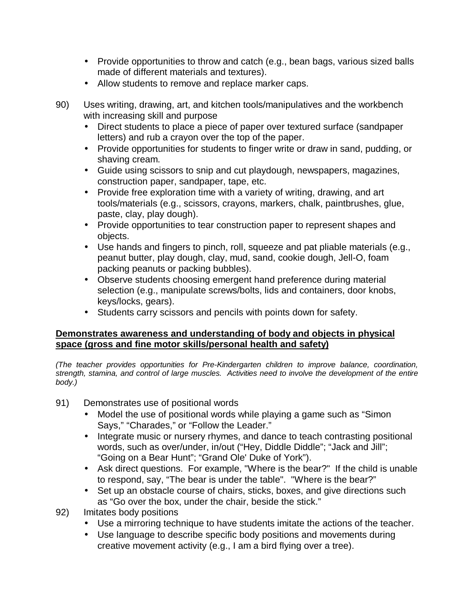- Provide opportunities to throw and catch (e.g., bean bags, various sized balls made of different materials and textures).
- Allow students to remove and replace marker caps.
- 90) Uses writing, drawing, art, and kitchen tools/manipulatives and the workbench with increasing skill and purpose
	- Direct students to place a piece of paper over textured surface (sandpaper letters) and rub a crayon over the top of the paper.
	- Provide opportunities for students to finger write or draw in sand, pudding, or shaving cream.
	- Guide using scissors to snip and cut playdough, newspapers, magazines, construction paper, sandpaper, tape, etc.
	- Provide free exploration time with a variety of writing, drawing, and art tools/materials (e.g., scissors, crayons, markers, chalk, paintbrushes, glue, paste, clay, play dough).
	- Provide opportunities to tear construction paper to represent shapes and objects.
	- Use hands and fingers to pinch, roll, squeeze and pat pliable materials (e.g., peanut butter, play dough, clay, mud, sand, cookie dough, Jell-O, foam packing peanuts or packing bubbles).
	- Observe students choosing emergent hand preference during material selection (e.g., manipulate screws/bolts, lids and containers, door knobs, keys/locks, gears).
	- Students carry scissors and pencils with points down for safety.

#### **Demonstrates awareness and understanding of body and objects in physical space (gross and fine motor skills/personal health and safety)**

*(The teacher provides opportunities for Pre-Kindergarten children to improve balance, coordination, strength, stamina, and control of large muscles. Activities need to involve the development of the entire body.)*

- 91) Demonstrates use of positional words
	- Model the use of positional words while playing a game such as "Simon" Says," "Charades," or "Follow the Leader."
	- Integrate music or nursery rhymes, and dance to teach contrasting positional words, such as over/under, in/out ("Hey, Diddle Diddle"; "Jack and Jill"; "Going on a Bear Hunt"; "Grand Ole' Duke of York").
	- Ask direct questions. For example, "Where is the bear?" If the child is unable to respond, say, "The bear is under the table". "Where is the bear?"
	- Set up an obstacle course of chairs, sticks, boxes, and give directions such as "Go over the box, under the chair, beside the stick."
- 92) Imitates body positions
	- Use a mirroring technique to have students imitate the actions of the teacher.
	- Use language to describe specific body positions and movements during creative movement activity (e.g., I am a bird flying over a tree).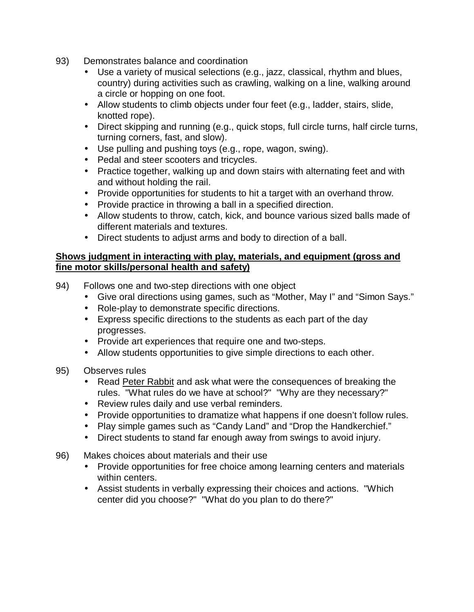- 93) Demonstrates balance and coordination
	- Use a variety of musical selections (e.g., jazz, classical, rhythm and blues, country) during activities such as crawling, walking on a line, walking around a circle or hopping on one foot.
	- Allow students to climb objects under four feet (e.g., ladder, stairs, slide, knotted rope).
	- Direct skipping and running (e.g., quick stops, full circle turns, half circle turns, turning corners, fast, and slow).
	- Use pulling and pushing toys (e.g., rope, wagon, swing).
	- Pedal and steer scooters and tricycles.
	- Practice together, walking up and down stairs with alternating feet and with and without holding the rail.
	- Provide opportunities for students to hit a target with an overhand throw.
	- Provide practice in throwing a ball in a specified direction.
	- Allow students to throw, catch, kick, and bounce various sized balls made of different materials and textures.
	- Direct students to adjust arms and body to direction of a ball.

#### **Shows judgment in interacting with play, materials, and equipment (gross and fine motor skills/personal health and safety)**

- 94) Follows one and two-step directions with one object
	- Give oral directions using games, such as "Mother, May I" and "Simon Says."
	- Role-play to demonstrate specific directions.
	- Express specific directions to the students as each part of the day progresses.
	- Provide art experiences that require one and two-steps.
	- Allow students opportunities to give simple directions to each other.
- 95) Observes rules
	- Read Peter Rabbit and ask what were the consequences of breaking the rules. "What rules do we have at school?" "Why are they necessary?"
	- Review rules daily and use verbal reminders.
	- Provide opportunities to dramatize what happens if one doesn't follow rules.
	- Play simple games such as "Candy Land" and "Drop the Handkerchief."
	- Direct students to stand far enough away from swings to avoid injury.
- 96) Makes choices about materials and their use
	- Provide opportunities for free choice among learning centers and materials within centers.
	- Assist students in verbally expressing their choices and actions. "Which center did you choose?" "What do you plan to do there?"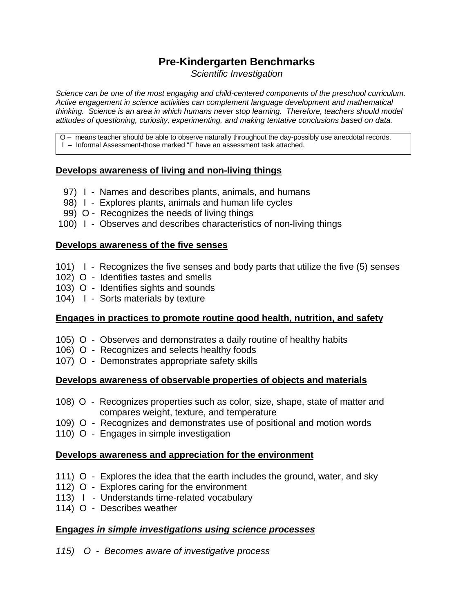## **Pre-Kindergarten Benchmarks**

*Scientific Investigation*

*Science can be one of the most engaging and child-centered components of the preschool curriculum. Active engagement in science activities can complement language development and mathematical thinking. Science is an area in which humans never stop learning. Therefore, teachers should model attitudes of questioning, curiosity, experimenting, and making tentative conclusions based on data.*

O – means teacher should be able to observe naturally throughout the day-possibly use anecdotal records.

I – Informal Assessment-those marked "I" have an assessment task attached.

#### **Develops awareness of living and non-living things**

- 97) I Names and describes plants, animals, and humans
- 98) I Explores plants, animals and human life cycles
- 99) O Recognizes the needs of living things
- 100) I Observes and describes characteristics of non-living things

#### **Develops awareness of the five senses**

- 101) I Recognizes the five senses and body parts that utilize the five (5) senses
- 102) O Identifies tastes and smells
- 103) O Identifies sights and sounds
- 104) I Sorts materials by texture

#### **Engages in practices to promote routine good health, nutrition, and safety**

- 105) O Observes and demonstrates a daily routine of healthy habits
- 106) O Recognizes and selects healthy foods
- 107) O Demonstrates appropriate safety skills

#### **Develops awareness of observable properties of objects and materials**

- 108) O Recognizes properties such as color, size, shape, state of matter and compares weight, texture, and temperature
- 109) O Recognizes and demonstrates use of positional and motion words
- 110) O Engages in simple investigation

#### **Develops awareness and appreciation for the environment**

- 111) O Explores the idea that the earth includes the ground, water, and sky
- 112) O Explores caring for the environment
- 113) I Understands time-related vocabulary
- 114) O Describes weather

#### **Enga***ges in simple investigations using science processes*

*115) O - Becomes aware of investigative process*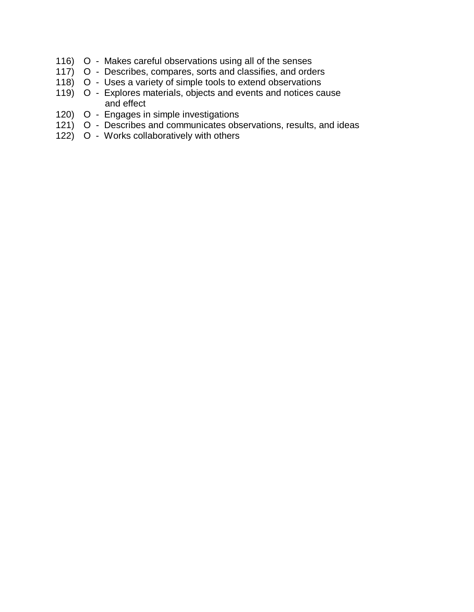- 116) O Makes careful observations using all of the senses
- 117) O Describes, compares, sorts and classifies, and orders
- 118) O Uses a variety of simple tools to extend observations
- 119) O Explores materials, objects and events and notices cause and effect
- 120) O Engages in simple investigations
- 121) O Describes and communicates observations, results, and ideas
- 122) O Works collaboratively with others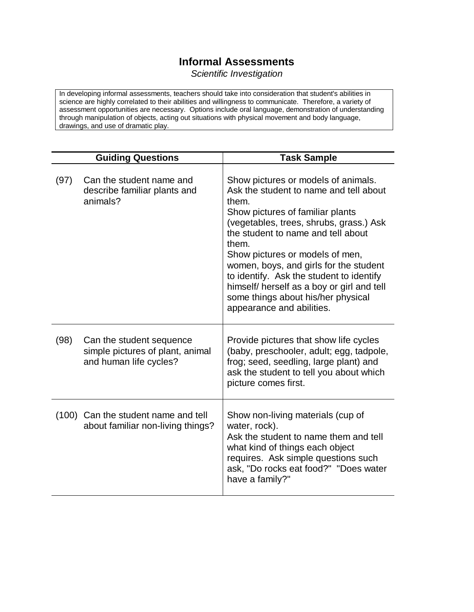## **Informal Assessments**

*Scientific Investigation*

In developing informal assessments, teachers should take into consideration that student's abilities in science are highly correlated to their abilities and willingness to communicate. Therefore, a variety of assessment opportunities are necessary. Options include oral language, demonstration of understanding through manipulation of objects, acting out situations with physical movement and body language, drawings, and use of dramatic play.

|      | <b>Guiding Questions</b>                                                               | <b>Task Sample</b>                                                                                                                                                                                                                                                                                                                                                                                                                                             |
|------|----------------------------------------------------------------------------------------|----------------------------------------------------------------------------------------------------------------------------------------------------------------------------------------------------------------------------------------------------------------------------------------------------------------------------------------------------------------------------------------------------------------------------------------------------------------|
| (97) | Can the student name and<br>describe familiar plants and<br>animals?                   | Show pictures or models of animals.<br>Ask the student to name and tell about<br>them.<br>Show pictures of familiar plants<br>(vegetables, trees, shrubs, grass.) Ask<br>the student to name and tell about<br>them.<br>Show pictures or models of men,<br>women, boys, and girls for the student<br>to identify. Ask the student to identify<br>himself/ herself as a boy or girl and tell<br>some things about his/her physical<br>appearance and abilities. |
| (98) | Can the student sequence<br>simple pictures of plant, animal<br>and human life cycles? | Provide pictures that show life cycles<br>(baby, preschooler, adult; egg, tadpole,<br>frog; seed, seedling, large plant) and<br>ask the student to tell you about which<br>picture comes first.                                                                                                                                                                                                                                                                |
|      | (100) Can the student name and tell<br>about familiar non-living things?               | Show non-living materials (cup of<br>water, rock).<br>Ask the student to name them and tell<br>what kind of things each object<br>requires. Ask simple questions such<br>ask, "Do rocks eat food?" "Does water<br>have a family?"                                                                                                                                                                                                                              |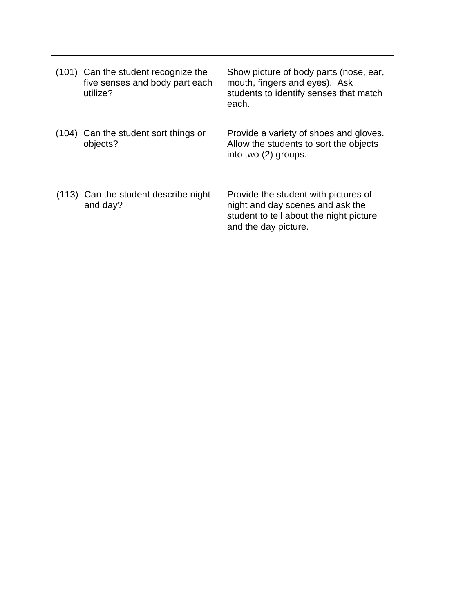| (101) Can the student recognize the<br>five senses and body part each<br>utilize? | Show picture of body parts (nose, ear,<br>mouth, fingers and eyes). Ask<br>students to identify senses that match<br>each.                  |
|-----------------------------------------------------------------------------------|---------------------------------------------------------------------------------------------------------------------------------------------|
| (104) Can the student sort things or<br>objects?                                  | Provide a variety of shoes and gloves.<br>Allow the students to sort the objects<br>into two (2) groups.                                    |
| (113) Can the student describe night<br>and day?                                  | Provide the student with pictures of<br>night and day scenes and ask the<br>student to tell about the night picture<br>and the day picture. |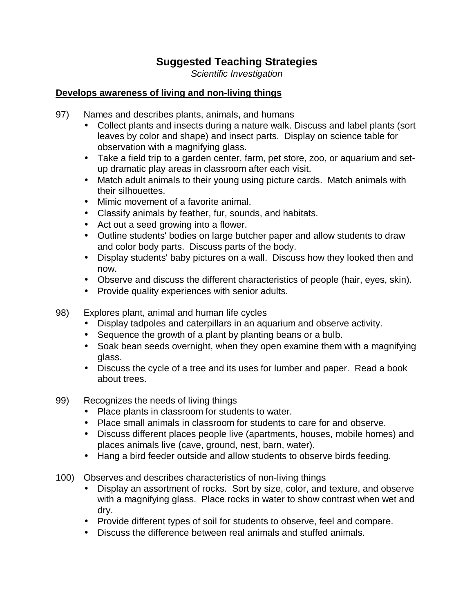## **Suggested Teaching Strategies**

*Scientific Investigation*

#### **Develops awareness of living and non-living things**

- 97) Names and describes plants, animals, and humans
	- Collect plants and insects during a nature walk. Discuss and label plants (sort leaves by color and shape) and insect parts. Display on science table for observation with a magnifying glass.
	- Take a field trip to a garden center, farm, pet store, zoo, or aquarium and setup dramatic play areas in classroom after each visit.
	- Match adult animals to their young using picture cards. Match animals with their silhouettes.
	- Mimic movement of a favorite animal.
	- Classify animals by feather, fur, sounds, and habitats.
	- Act out a seed growing into a flower.
	- Outline students' bodies on large butcher paper and allow students to draw and color body parts. Discuss parts of the body.
	- Display students' baby pictures on a wall. Discuss how they looked then and now.
	- Observe and discuss the different characteristics of people (hair, eyes, skin).
	- Provide quality experiences with senior adults.
- 98) Explores plant, animal and human life cycles
	- Display tadpoles and caterpillars in an aquarium and observe activity.
	- Sequence the growth of a plant by planting beans or a bulb.
	- Soak bean seeds overnight, when they open examine them with a magnifying glass.
	- Discuss the cycle of a tree and its uses for lumber and paper. Read a book about trees.
- 99) Recognizes the needs of living things
	- Place plants in classroom for students to water.
	- Place small animals in classroom for students to care for and observe.
	- Discuss different places people live (apartments, houses, mobile homes) and places animals live (cave, ground, nest, barn, water).
	- Hang a bird feeder outside and allow students to observe birds feeding.
- 100) Observes and describes characteristics of non-living things
	- Display an assortment of rocks. Sort by size, color, and texture, and observe with a magnifying glass. Place rocks in water to show contrast when wet and dry.
	- Provide different types of soil for students to observe, feel and compare.
	- Discuss the difference between real animals and stuffed animals.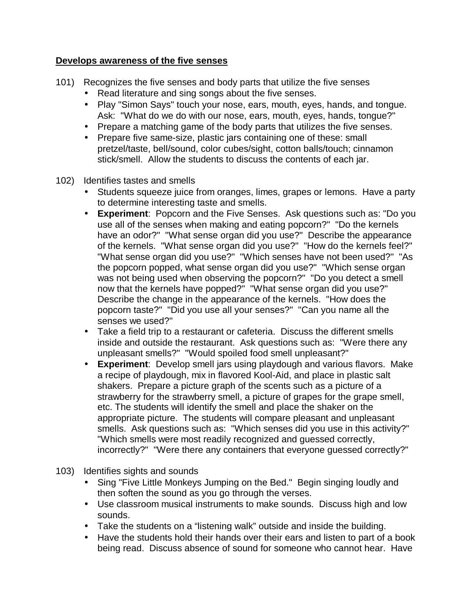#### **Develops awareness of the five senses**

- 101) Recognizes the five senses and body parts that utilize the five senses
	- Read literature and sing songs about the five senses.
	- Play "Simon Says" touch your nose, ears, mouth, eyes, hands, and tongue. Ask: "What do we do with our nose, ears, mouth, eyes, hands, tongue?"
	- Prepare a matching game of the body parts that utilizes the five senses.
	- Prepare five same-size, plastic jars containing one of these: small pretzel/taste, bell/sound, color cubes/sight, cotton balls/touch; cinnamon stick/smell. Allow the students to discuss the contents of each jar.
- 102) Identifies tastes and smells
	- Students squeeze juice from oranges, limes, grapes or lemons. Have a party to determine interesting taste and smells.
	- **Experiment**: Popcorn and the Five Senses. Ask questions such as: "Do you use all of the senses when making and eating popcorn?" "Do the kernels have an odor?" "What sense organ did you use?" Describe the appearance of the kernels. "What sense organ did you use?" "How do the kernels feel?" "What sense organ did you use?" "Which senses have not been used?" "As the popcorn popped, what sense organ did you use?" "Which sense organ was not being used when observing the popcorn?" "Do you detect a smell now that the kernels have popped?" "What sense organ did you use?" Describe the change in the appearance of the kernels. "How does the popcorn taste?" "Did you use all your senses?" "Can you name all the senses we used?"
	- Take a field trip to a restaurant or cafeteria. Discuss the different smells inside and outside the restaurant. Ask questions such as: "Were there any unpleasant smells?" "Would spoiled food smell unpleasant?"
	- **Experiment**: Develop smell jars using playdough and various flavors. Make a recipe of playdough, mix in flavored Kool-Aid, and place in plastic salt shakers. Prepare a picture graph of the scents such as a picture of a strawberry for the strawberry smell, a picture of grapes for the grape smell, etc. The students will identify the smell and place the shaker on the appropriate picture. The students will compare pleasant and unpleasant smells. Ask questions such as: "Which senses did you use in this activity?" "Which smells were most readily recognized and guessed correctly, incorrectly?" "Were there any containers that everyone guessed correctly?"
- 103) Identifies sights and sounds
	- Sing "Five Little Monkeys Jumping on the Bed." Begin singing loudly and then soften the sound as you go through the verses.
	- Use classroom musical instruments to make sounds. Discuss high and low sounds.
	- Take the students on a "listening walk" outside and inside the building.
	- Have the students hold their hands over their ears and listen to part of a book being read. Discuss absence of sound for someone who cannot hear. Have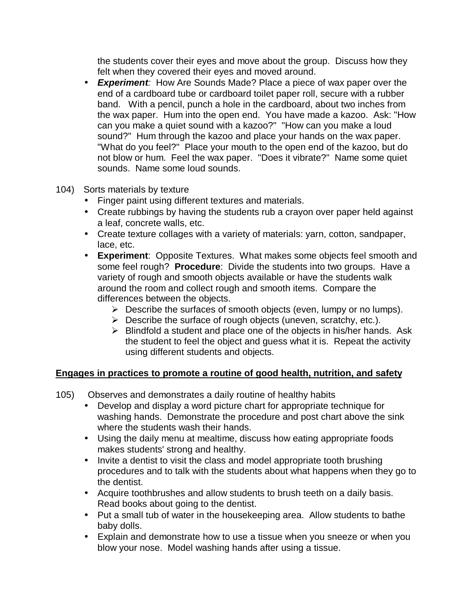the students cover their eyes and move about the group. Discuss how they felt when they covered their eyes and moved around.

- *Experiment:* How Are Sounds Made? Place a piece of wax paper over the end of a cardboard tube or cardboard toilet paper roll, secure with a rubber band. With a pencil, punch a hole in the cardboard, about two inches from the wax paper. Hum into the open end. You have made a kazoo. Ask: "How can you make a quiet sound with a kazoo?" "How can you make a loud sound?" Hum through the kazoo and place your hands on the wax paper. "What do you feel?" Place your mouth to the open end of the kazoo, but do not blow or hum. Feel the wax paper. "Does it vibrate?" Name some quiet sounds. Name some loud sounds.
- 104) Sorts materials by texture
	- Finger paint using different textures and materials.
	- Create rubbings by having the students rub a crayon over paper held against a leaf, concrete walls, etc.
	- Create texture collages with a variety of materials: yarn, cotton, sandpaper, lace, etc.
	- **Experiment**: Opposite Textures. What makes some objects feel smooth and some feel rough? **Procedure**: Divide the students into two groups. Have a variety of rough and smooth objects available or have the students walk around the room and collect rough and smooth items. Compare the differences between the objects.
		- $\triangleright$  Describe the surfaces of smooth objects (even, lumpy or no lumps).
		- $\triangleright$  Describe the surface of rough objects (uneven, scratchy, etc.).
		- $\triangleright$  Blindfold a student and place one of the objects in his/her hands. Ask the student to feel the object and guess what it is. Repeat the activity using different students and objects.

#### **Engages in practices to promote a routine of good health, nutrition, and safety**

- 105) Observes and demonstrates a daily routine of healthy habits
	- Develop and display a word picture chart for appropriate technique for washing hands. Demonstrate the procedure and post chart above the sink where the students wash their hands.
	- Using the daily menu at mealtime, discuss how eating appropriate foods makes students' strong and healthy.
	- Invite a dentist to visit the class and model appropriate tooth brushing procedures and to talk with the students about what happens when they go to the dentist.
	- Acquire toothbrushes and allow students to brush teeth on a daily basis. Read books about going to the dentist.
	- Put a small tub of water in the housekeeping area. Allow students to bathe baby dolls.
	- Explain and demonstrate how to use a tissue when you sneeze or when you blow your nose. Model washing hands after using a tissue.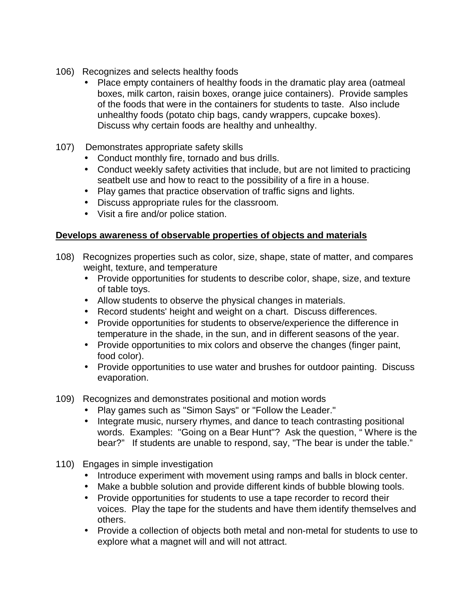- 106) Recognizes and selects healthy foods
	- Place empty containers of healthy foods in the dramatic play area (oatmeal boxes, milk carton, raisin boxes, orange juice containers). Provide samples of the foods that were in the containers for students to taste. Also include unhealthy foods (potato chip bags, candy wrappers, cupcake boxes). Discuss why certain foods are healthy and unhealthy.
- 107) Demonstrates appropriate safety skills
	- Conduct monthly fire, tornado and bus drills.
	- Conduct weekly safety activities that include, but are not limited to practicing seatbelt use and how to react to the possibility of a fire in a house.
	- Play games that practice observation of traffic signs and lights.
	- Discuss appropriate rules for the classroom.
	- Visit a fire and/or police station.

#### **Develops awareness of observable properties of objects and materials**

- 108) Recognizes properties such as color, size, shape, state of matter, and compares weight, texture, and temperature
	- Provide opportunities for students to describe color, shape, size, and texture of table toys.
	- Allow students to observe the physical changes in materials.
	- Record students' height and weight on a chart. Discuss differences.
	- Provide opportunities for students to observe/experience the difference in temperature in the shade, in the sun, and in different seasons of the year.
	- Provide opportunities to mix colors and observe the changes (finger paint, food color).
	- Provide opportunities to use water and brushes for outdoor painting. Discuss evaporation.
- 109) Recognizes and demonstrates positional and motion words
	- Play games such as "Simon Says" or "Follow the Leader."
	- Integrate music, nursery rhymes, and dance to teach contrasting positional words. Examples: "Going on a Bear Hunt"? Ask the question, " Where is the bear?" If students are unable to respond, say, "The bear is under the table."
- 110) Engages in simple investigation
	- Introduce experiment with movement using ramps and balls in block center.
	- Make a bubble solution and provide different kinds of bubble blowing tools.
	- Provide opportunities for students to use a tape recorder to record their voices. Play the tape for the students and have them identify themselves and others.
	- Provide a collection of objects both metal and non-metal for students to use to explore what a magnet will and will not attract.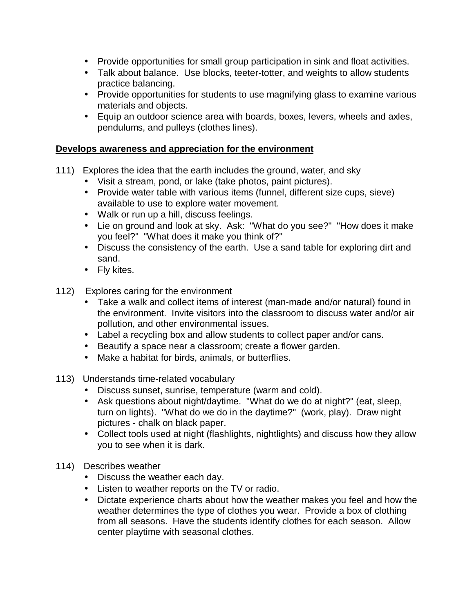- Provide opportunities for small group participation in sink and float activities.
- Talk about balance. Use blocks, teeter-totter, and weights to allow students practice balancing.
- Provide opportunities for students to use magnifying glass to examine various materials and objects.
- Equip an outdoor science area with boards, boxes, levers, wheels and axles, pendulums, and pulleys (clothes lines).

#### **Develops awareness and appreciation for the environment**

- 111) Explores the idea that the earth includes the ground, water, and sky
	- Visit a stream, pond, or lake (take photos, paint pictures).
	- Provide water table with various items (funnel, different size cups, sieve) available to use to explore water movement.
	- Walk or run up a hill, discuss feelings.
	- Lie on ground and look at sky. Ask: "What do you see?" "How does it make you feel?" "What does it make you think of?"
	- Discuss the consistency of the earth. Use a sand table for exploring dirt and sand.
	- Fly kites.
- 112) Explores caring for the environment
	- Take a walk and collect items of interest (man-made and/or natural) found in the environment. Invite visitors into the classroom to discuss water and/or air pollution, and other environmental issues.
	- Label a recycling box and allow students to collect paper and/or cans.
	- Beautify a space near a classroom; create a flower garden.
	- Make a habitat for birds, animals, or butterflies.
- 113) Understands time-related vocabulary
	- Discuss sunset, sunrise, temperature (warm and cold).
	- Ask questions about night/daytime. "What do we do at night?" (eat, sleep, turn on lights). "What do we do in the daytime?" (work, play). Draw night pictures - chalk on black paper.
	- Collect tools used at night (flashlights, nightlights) and discuss how they allow you to see when it is dark.
- 114) Describes weather
	- Discuss the weather each day.
	- Listen to weather reports on the TV or radio.
	- Dictate experience charts about how the weather makes you feel and how the weather determines the type of clothes you wear. Provide a box of clothing from all seasons. Have the students identify clothes for each season. Allow center playtime with seasonal clothes.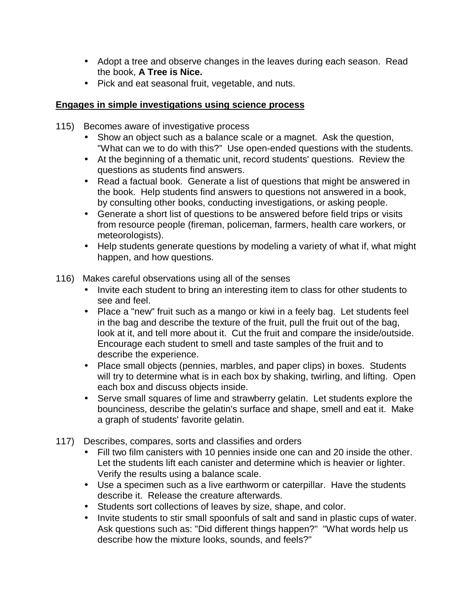- Adopt a tree and observe changes in the leaves during each season. Read the book, **A Tree is Nice.**
- Pick and eat seasonal fruit, vegetable, and nuts.

#### **Engages in simple investigations using science process**

- 115) Becomes aware of investigative process
	- Show an object such as a balance scale or a magnet. Ask the question, "What can we to do with this?" Use open-ended questions with the students.
	- At the beginning of a thematic unit, record students' questions. Review the questions as students find answers.
	- Read a factual book. Generate a list of questions that might be answered in the book. Help students find answers to questions not answered in a book, by consulting other books, conducting investigations, or asking people.
	- Generate a short list of questions to be answered before field trips or visits from resource people (fireman, policeman, farmers, health care workers, or meteorologists).
	- Help students generate questions by modeling a variety of what if, what might happen, and how questions.
- 116) Makes careful observations using all of the senses
	- Invite each student to bring an interesting item to class for other students to see and feel.
	- Place a "new" fruit such as a mango or kiwi in a feely bag. Let students feel in the bag and describe the texture of the fruit, pull the fruit out of the bag, look at it, and tell more about it. Cut the fruit and compare the inside/outside. Encourage each student to smell and taste samples of the fruit and to describe the experience.
	- Place small objects (pennies, marbles, and paper clips) in boxes. Students will try to determine what is in each box by shaking, twirling, and lifting. Open each box and discuss objects inside.
	- Serve small squares of lime and strawberry gelatin. Let students explore the bounciness, describe the gelatin's surface and shape, smell and eat it. Make a graph of students' favorite gelatin.
- 117) Describes, compares, sorts and classifies and orders
	- Fill two film canisters with 10 pennies inside one can and 20 inside the other. Let the students lift each canister and determine which is heavier or lighter. Verify the results using a balance scale.
	- Use a specimen such as a live earthworm or caterpillar. Have the students describe it. Release the creature afterwards.
	- Students sort collections of leaves by size, shape, and color.
	- Invite students to stir small spoonfuls of salt and sand in plastic cups of water. Ask questions such as: "Did different things happen?" "What words help us describe how the mixture looks, sounds, and feels?"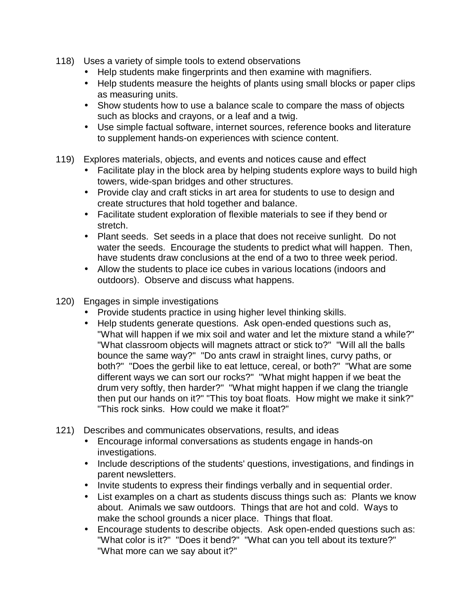- 118) Uses a variety of simple tools to extend observations
	- Help students make fingerprints and then examine with magnifiers.
	- Help students measure the heights of plants using small blocks or paper clips as measuring units.
	- Show students how to use a balance scale to compare the mass of objects such as blocks and crayons, or a leaf and a twig.
	- Use simple factual software, internet sources, reference books and literature to supplement hands-on experiences with science content.
- 119) Explores materials, objects, and events and notices cause and effect
	- Facilitate play in the block area by helping students explore ways to build high towers, wide-span bridges and other structures.
	- Provide clay and craft sticks in art area for students to use to design and create structures that hold together and balance.
	- Facilitate student exploration of flexible materials to see if they bend or stretch.
	- Plant seeds. Set seeds in a place that does not receive sunlight. Do not water the seeds. Encourage the students to predict what will happen. Then, have students draw conclusions at the end of a two to three week period.
	- Allow the students to place ice cubes in various locations (indoors and outdoors). Observe and discuss what happens.
- 120) Engages in simple investigations
	- Provide students practice in using higher level thinking skills.
	- Help students generate questions. Ask open-ended questions such as, "What will happen if we mix soil and water and let the mixture stand a while?" "What classroom objects will magnets attract or stick to?" "Will all the balls bounce the same way?" "Do ants crawl in straight lines, curvy paths, or both?" "Does the gerbil like to eat lettuce, cereal, or both?" "What are some different ways we can sort our rocks?" "What might happen if we beat the drum very softly, then harder?" "What might happen if we clang the triangle then put our hands on it?" "This toy boat floats. How might we make it sink?" "This rock sinks. How could we make it float?"
- 121) Describes and communicates observations, results, and ideas
	- Encourage informal conversations as students engage in hands-on investigations.
	- Include descriptions of the students' questions, investigations, and findings in parent newsletters.
	- Invite students to express their findings verbally and in sequential order.
	- List examples on a chart as students discuss things such as: Plants we know about. Animals we saw outdoors. Things that are hot and cold. Ways to make the school grounds a nicer place. Things that float.
	- Encourage students to describe objects. Ask open-ended questions such as: "What color is it?" "Does it bend?" "What can you tell about its texture?" "What more can we say about it?"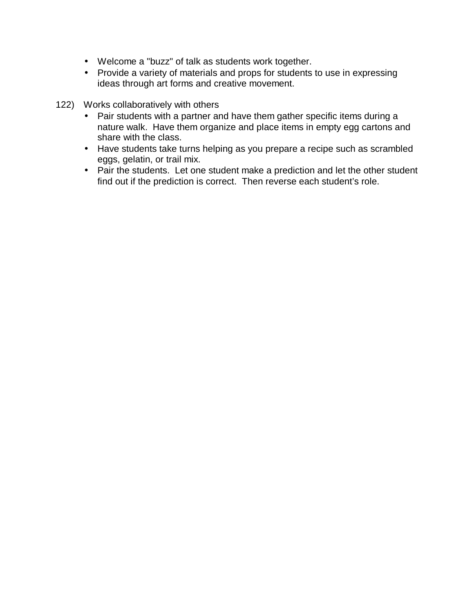- Welcome a "buzz" of talk as students work together.
- Provide a variety of materials and props for students to use in expressing ideas through art forms and creative movement.
- 122) Works collaboratively with others
	- Pair students with a partner and have them gather specific items during a nature walk. Have them organize and place items in empty egg cartons and share with the class.
	- Have students take turns helping as you prepare a recipe such as scrambled eggs, gelatin, or trail mix.
	- Pair the students. Let one student make a prediction and let the other student find out if the prediction is correct. Then reverse each student's role.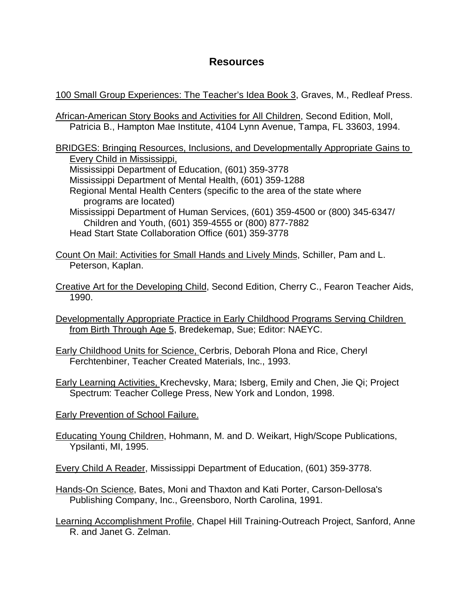#### **Resources**

100 Small Group Experiences: The Teacher's Idea Book 3, Graves, M., Redleaf Press.

African-American Story Books and Activities for All Children, Second Edition, Moll, Patricia B., Hampton Mae Institute, 4104 Lynn Avenue, Tampa, FL 33603, 1994.

BRIDGES: Bringing Resources, Inclusions, and Developmentally Appropriate Gains to Every Child in Mississippi, Mississippi Department of Education, (601) 359-3778 Mississippi Department of Mental Health, (601) 359-1288 Regional Mental Health Centers (specific to the area of the state where programs are located) Mississippi Department of Human Services, (601) 359-4500 or (800) 345-6347/ Children and Youth, (601) 359-4555 or (800) 877-7882 Head Start State Collaboration Office (601) 359-3778

Count On Mail: Activities for Small Hands and Lively Minds, Schiller, Pam and L. Peterson, Kaplan.

- Creative Art for the Developing Child, Second Edition, Cherry C., Fearon Teacher Aids, 1990.
- Developmentally Appropriate Practice in Early Childhood Programs Serving Children from Birth Through Age 5, Bredekemap, Sue; Editor: NAEYC.
- Early Childhood Units for Science, Cerbris, Deborah Plona and Rice, Cheryl Ferchtenbiner, Teacher Created Materials, Inc., 1993.
- Early Learning Activities, Krechevsky, Mara; Isberg, Emily and Chen, Jie Qi; Project Spectrum: Teacher College Press, New York and London, 1998.
- Early Prevention of School Failure.
- Educating Young Children, Hohmann, M. and D. Weikart, High/Scope Publications, Ypsilanti, MI, 1995.
- Every Child A Reader, Mississippi Department of Education, (601) 359-3778.
- Hands-On Science, Bates, Moni and Thaxton and Kati Porter, Carson-Dellosa's Publishing Company, Inc., Greensboro, North Carolina, 1991.
- Learning Accomplishment Profile, Chapel Hill Training-Outreach Project, Sanford, Anne R. and Janet G. Zelman.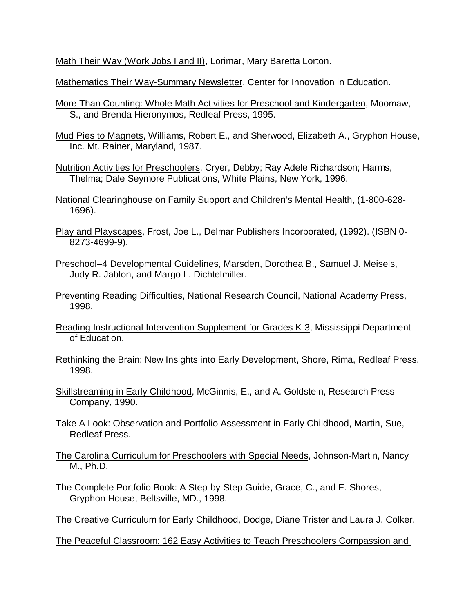Math Their Way (Work Jobs I and II), Lorimar, Mary Baretta Lorton.

Mathematics Their Way-Summary Newsletter, Center for Innovation in Education.

- More Than Counting: Whole Math Activities for Preschool and Kindergarten, Moomaw, S., and Brenda Hieronymos, Redleaf Press, 1995.
- Mud Pies to Magnets, Williams, Robert E., and Sherwood, Elizabeth A., Gryphon House, Inc. Mt. Rainer, Maryland, 1987.
- Nutrition Activities for Preschoolers, Cryer, Debby; Ray Adele Richardson; Harms, Thelma; Dale Seymore Publications, White Plains, New York, 1996.

National Clearinghouse on Family Support and Children's Mental Health, (1-800-628- 1696).

- Play and Playscapes, Frost, Joe L., Delmar Publishers Incorporated, (1992). (ISBN 0- 8273-4699-9).
- Preschool–4 Developmental Guidelines, Marsden, Dorothea B., Samuel J. Meisels, Judy R. Jablon, and Margo L. Dichtelmiller.
- Preventing Reading Difficulties, National Research Council, National Academy Press, 1998.
- Reading Instructional Intervention Supplement for Grades K-3, Mississippi Department of Education.
- Rethinking the Brain: New Insights into Early Development, Shore, Rima, Redleaf Press, 1998.
- Skillstreaming in Early Childhood, McGinnis, E., and A. Goldstein, Research Press Company, 1990.
- Take A Look: Observation and Portfolio Assessment in Early Childhood, Martin, Sue, Redleaf Press.
- The Carolina Curriculum for Preschoolers with Special Needs, Johnson-Martin, Nancy M., Ph.D.
- The Complete Portfolio Book: A Step-by-Step Guide, Grace, C., and E. Shores, Gryphon House, Beltsville, MD., 1998.
- The Creative Curriculum for Early Childhood, Dodge, Diane Trister and Laura J. Colker.

The Peaceful Classroom: 162 Easy Activities to Teach Preschoolers Compassion and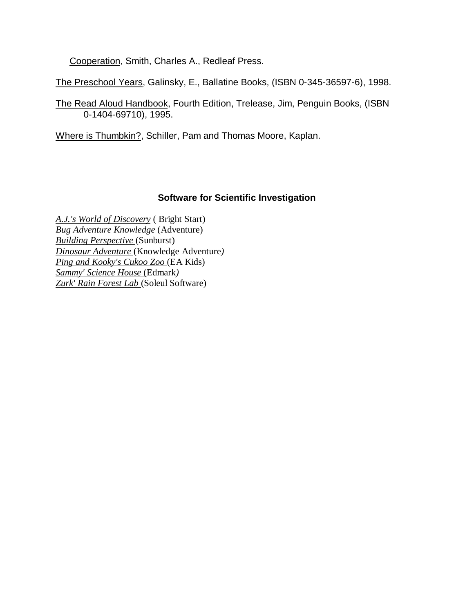Cooperation, Smith, Charles A., Redleaf Press.

The Preschool Years, Galinsky, E., Ballatine Books, (ISBN 0-345-36597-6), 1998.

The Read Aloud Handbook, Fourth Edition, Trelease, Jim, Penguin Books, (ISBN 0-1404-69710), 1995.

Where is Thumbkin?, Schiller, Pam and Thomas Moore, Kaplan.

#### **Software for Scientific Investigation**

*A.J.'s World of Discovery* ( Bright Start) *Bug Adventure Knowledge* (Adventure) *Building Perspective* (Sunburst) *Dinosaur Adventure* (Knowledge Adventure*) Ping and Kooky's Cukoo Zoo* (EA Kids) *Sammy' Science House* (Edmark*) Zurk' Rain Forest Lab* (Soleul Software)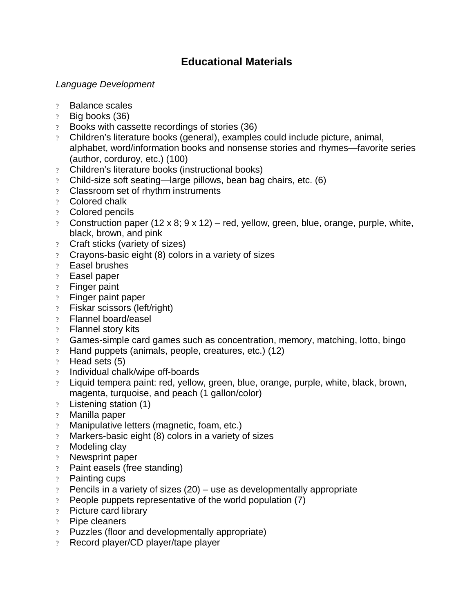## **Educational Materials**

#### *Language Development*

- ? Balance scales
- ? Big books (36)
- ? Books with cassette recordings of stories (36)
- ? Children's literature books (general), examples could include picture, animal, alphabet, word/information books and nonsense stories and rhymes— favorite series (author, corduroy, etc.) (100)
- ? Children's literature books (instructional books)
- ? Child-size soft seating— large pillows, bean bag chairs, etc. (6)
- ? Classroom set of rhythm instruments
- ? Colored chalk
- ? Colored pencils
- ? Construction paper  $(12 \times 8; 9 \times 12)$  red, yellow, green, blue, orange, purple, white, black, brown, and pink
- ? Craft sticks (variety of sizes)
- ? Crayons-basic eight (8) colors in a variety of sizes
- ? Easel brushes
- ? Easel paper
- ? Finger paint
- ? Finger paint paper
- ? Fiskar scissors (left/right)
- ? Flannel board/easel
- ? Flannel story kits
- ? Games-simple card games such as concentration, memory, matching, lotto, bingo
- ? Hand puppets (animals, people, creatures, etc.) (12)
- ? Head sets (5)
- ? Individual chalk/wipe off-boards
- ? Liquid tempera paint: red, yellow, green, blue, orange, purple, white, black, brown, magenta, turquoise, and peach (1 gallon/color)
- ? Listening station (1)
- ? Manilla paper
- ? Manipulative letters (magnetic, foam, etc.)
- ? Markers-basic eight (8) colors in a variety of sizes
- ? Modeling clay
- ? Newsprint paper
- ? Paint easels (free standing)
- ? Painting cups
- ? Pencils in a variety of sizes (20) use as developmentally appropriate
- ? People puppets representative of the world population (7)
- ? Picture card library
- ? Pipe cleaners
- ? Puzzles (floor and developmentally appropriate)
- ? Record player/CD player/tape player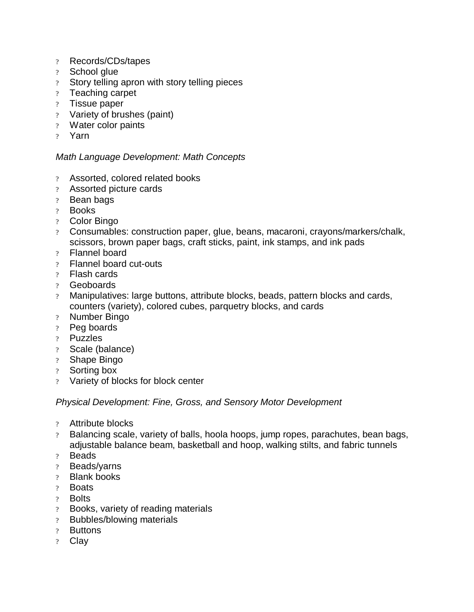- ? Records/CDs/tapes
- ? School glue
- ? Story telling apron with story telling pieces
- ? Teaching carpet
- ? Tissue paper
- ? Variety of brushes (paint)
- ? Water color paints
- ? Yarn

#### *Math Language Development: Math Concepts*

- ? Assorted, colored related books
- ? Assorted picture cards
- ? Bean bags
- ? Books
- ? Color Bingo
- ? Consumables: construction paper, glue, beans, macaroni, crayons/markers/chalk, scissors, brown paper bags, craft sticks, paint, ink stamps, and ink pads
- ? Flannel board
- ? Flannel board cut-outs
- ? Flash cards
- ? Geoboards
- ? Manipulatives: large buttons, attribute blocks, beads, pattern blocks and cards, counters (variety), colored cubes, parquetry blocks, and cards
- ? Number Bingo
- ? Peg boards
- ? Puzzles
- ? Scale (balance)
- ? Shape Bingo
- ? Sorting box
- ? Variety of blocks for block center

#### *Physical Development: Fine, Gross, and Sensory Motor Development*

- ? Attribute blocks
- ? Balancing scale, variety of balls, hoola hoops, jump ropes, parachutes, bean bags, adjustable balance beam, basketball and hoop, walking stilts, and fabric tunnels
- ? Beads
- ? Beads/yarns
- ? Blank books
- ? Boats
- ? Bolts
- ? Books, variety of reading materials
- ? Bubbles/blowing materials
- ? Buttons
- ? Clay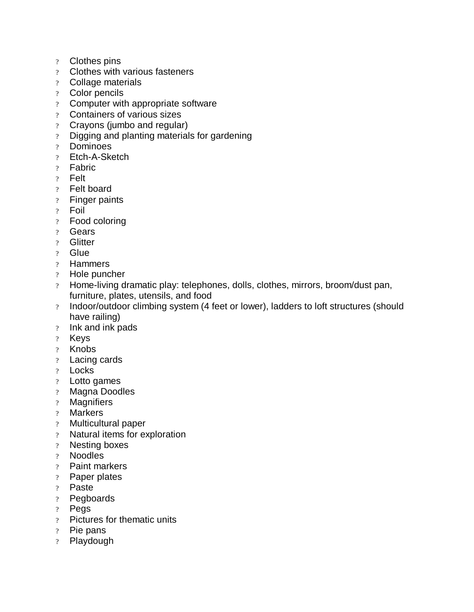- ? Clothes pins
- ? Clothes with various fasteners
- ? Collage materials
- ? Color pencils
- ? Computer with appropriate software
- ? Containers of various sizes
- ? Crayons (jumbo and regular)
- ? Digging and planting materials for gardening
- ? Dominoes
- ? Etch-A-Sketch
- ? Fabric
- ? Felt
- ? Felt board
- ? Finger paints
- ? Foil
- ? Food coloring
- ? Gears
- ? Glitter
- ? Glue
- ? Hammers
- ? Hole puncher
- ? Home-living dramatic play: telephones, dolls, clothes, mirrors, broom/dust pan, furniture, plates, utensils, and food
- ? Indoor/outdoor climbing system (4 feet or lower), ladders to loft structures (should have railing)
- ? Ink and ink pads
- ? Keys
- ? Knobs
- ? Lacing cards
- ? Locks
- ? Lotto games
- ? Magna Doodles
- ? Magnifiers
- ? Markers
- ? Multicultural paper
- ? Natural items for exploration
- ? Nesting boxes
- ? Noodles
- ? Paint markers
- ? Paper plates
- ? Paste
- ? Pegboards
- ? Pegs
- ? Pictures for thematic units
- ? Pie pans
- ? Playdough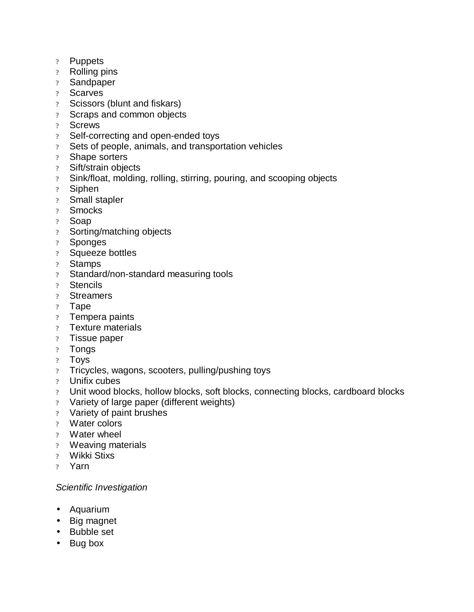- ? Puppets
- ? Rolling pins
- ? Sandpaper
- ? Scarves
- ? Scissors (blunt and fiskars)
- ? Scraps and common objects
- ? Screws
- ? Self-correcting and open-ended toys
- ? Sets of people, animals, and transportation vehicles
- ? Shape sorters
- ? Sift/strain objects
- ? Sink/float, molding, rolling, stirring, pouring, and scooping objects
- ? Siphen
- ? Small stapler
- ? Smocks
- ? Soap
- ? Sorting/matching objects
- ? Sponges
- ? Squeeze bottles
- ? Stamps
- ? Standard/non-standard measuring tools
- ? Stencils
- ? Streamers
- ? Tape
- ? Tempera paints
- ? Texture materials
- ? Tissue paper
- ? Tongs
- ? Toys
- ? Tricycles, wagons, scooters, pulling/pushing toys
- ? Unifix cubes
- ? Unit wood blocks, hollow blocks, soft blocks, connecting blocks, cardboard blocks
- ? Variety of large paper (different weights)
- ? Variety of paint brushes
- ? Water colors
- ? Water wheel
- ? Weaving materials
- ? Wikki Stixs
- ? Yarn

#### *Scientific Investigation*

- Aquarium
- Big magnet
- Bubble set
- Bug box